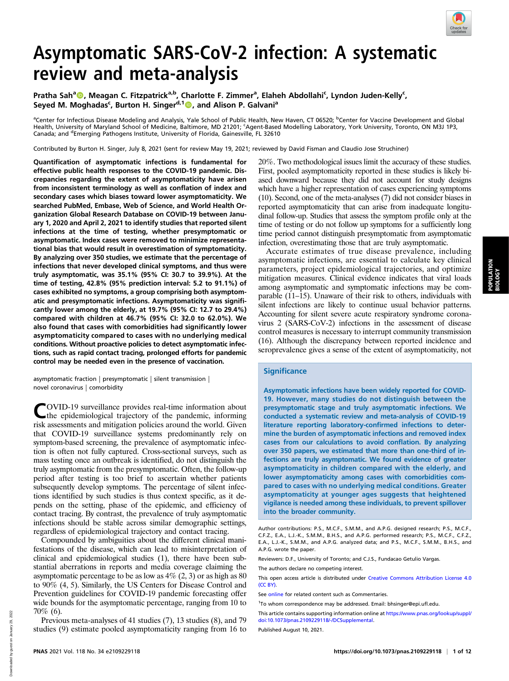

# Asymptomatic SARS-CoV-2 infection: A systematic review and meta-analysis

Pratha Sah<sup>a</sup> (D. Meagan C. Fitzpatrick<sup>a,b</sup>, Charlotte F. Zimmer<sup>a</sup>, Elaheh Abdollahi<sup>c</sup>, Lyndon Juden-Kelly<sup>c</sup>, Seyed M. Moghadas<sup>c</sup>, Burton H. Singer<sup>d,1</sup> , and Alison P. Galvani<sup>a</sup>

<sup>a</sup>Center for Infectious Disease Modeling and Analysis, Yale School of Public Health, New Haven, CT 06520; <sup>b</sup>Center for Vaccine Development and Global Health, University of Maryland School of Medicine, Baltimore, MD 21201; 'Agent-Based Modelling Laboratory, York University, Toronto, ON M3J 1P3, Canada; and <sup>d</sup>Emerging Pathogens Institute, University of Florida, Gainesville, FL 32610

Contributed by Burton H. Singer, July 8, 2021 (sent for review May 19, 2021; reviewed by David Fisman and Claudio Jose Struchiner)

Quantification of asymptomatic infections is fundamental for effective public health responses to the COVID-19 pandemic. Discrepancies regarding the extent of asymptomaticity have arisen from inconsistent terminology as well as conflation of index and secondary cases which biases toward lower asymptomaticity. We searched PubMed, Embase, Web of Science, and World Health Organization Global Research Database on COVID-19 between January 1, 2020 and April 2, 2021 to identify studies that reported silent infections at the time of testing, whether presymptomatic or asymptomatic. Index cases were removed to minimize representational bias that would result in overestimation of symptomaticity. By analyzing over 350 studies, we estimate that the percentage of infections that never developed clinical symptoms, and thus were truly asymptomatic, was 35.1% (95% CI: 30.7 to 39.9%). At the time of testing, 42.8% (95% prediction interval: 5.2 to 91.1%) of cases exhibited no symptoms, a group comprising both asymptomatic and presymptomatic infections. Asymptomaticity was significantly lower among the elderly, at 19.7% (95% CI: 12.7 to 29.4%) compared with children at 46.7% (95% CI: 32.0 to 62.0%). We also found that cases with comorbidities had significantly lower asymptomaticity compared to cases with no underlying medical conditions. Without proactive policies to detect asymptomatic infections, such as rapid contact tracing, prolonged efforts for pandemic control may be needed even in the presence of vaccination.

asymptomatic fraction | presymptomatic | silent transmission | novel coronavirus | comorbidity

COVID-19 surveillance provides real-time information about the epidemiological trajectory of the pandemic, informing risk assessments and mitigation policies around the world. Given that COVID-19 surveillance systems predominantly rely on symptom-based screening, the prevalence of asymptomatic infection is often not fully captured. Cross-sectional surveys, such as mass testing once an outbreak is identified, do not distinguish the truly asymptomatic from the presymptomatic. Often, the follow-up period after testing is too brief to ascertain whether patients subsequently develop symptoms. The percentage of silent infections identified by such studies is thus context specific, as it depends on the setting, phase of the epidemic, and efficiency of contact tracing. By contrast, the prevalence of truly asymptomatic infections should be stable across similar demographic settings, regardless of epidemiological trajectory and contact tracing.

Compounded by ambiguities about the different clinical manifestations of the disease, which can lead to misinterpretation of clinical and epidemiological studies (1), there have been substantial aberrations in reports and media coverage claiming the asymptomatic percentage to be as low as  $4\%$  (2, 3) or as high as 80 to 90% (4, 5). Similarly, the US Centers for Disease Control and Prevention guidelines for COVID-19 pandemic forecasting offer wide bounds for the asymptomatic percentage, ranging from 10 to 70% (6).

Previous meta-analyses of 41 studies (7), 13 studies (8), and 79 studies (9) estimate pooled asymptomaticity ranging from 16 to 20%. Two methodological issues limit the accuracy of these studies. First, pooled asymptomaticity reported in these studies is likely biased downward because they did not account for study designs which have a higher representation of cases experiencing symptoms (10). Second, one of the meta-analyses (7) did not consider biases in reported asymptomaticity that can arise from inadequate longitudinal follow-up. Studies that assess the symptom profile only at the time of testing or do not follow up symptoms for a sufficiently long time period cannot distinguish presymptomatic from asymptomatic infection, overestimating those that are truly asymptomatic.

Accurate estimates of true disease prevalence, including asymptomatic infections, are essential to calculate key clinical parameters, project epidemiological trajectories, and optimize mitigation measures. Clinical evidence indicates that viral loads among asymptomatic and symptomatic infections may be comparable (11–15). Unaware of their risk to others, individuals with silent infections are likely to continue usual behavior patterns. Accounting for silent severe acute respiratory syndrome coronavirus 2 (SARS-CoV-2) infections in the assessment of disease control measures is necessary to interrupt community transmission (16). Although the discrepancy between reported incidence and seroprevalence gives a sense of the extent of asymptomaticity, not

## **Significance**

Asymptomatic infections have been widely reported for COVID-19. However, many studies do not distinguish between the presymptomatic stage and truly asymptomatic infections. We conducted a systematic review and meta-analysis of COVID-19 literature reporting laboratory-confirmed infections to determine the burden of asymptomatic infections and removed index cases from our calculations to avoid conflation. By analyzing over 350 papers, we estimated that more than one-third of infections are truly asymptomatic. We found evidence of greater asymptomaticity in children compared with the elderly, and lower asymptomaticity among cases with comorbidities compared to cases with no underlying medical conditions. Greater asymptomaticity at younger ages suggests that heightened vigilance is needed among these individuals, to prevent spillover into the broader community.

Reviewers: D.F., University of Toronto; and C.J.S., Fundacao Getulio Vargas.

The authors declare no competing interest.

This open access article is distributed under [Creative Commons Attribution License 4.0](http://creativecommons.org/licenses/by/4.0/) [\(CC BY\).](http://creativecommons.org/licenses/by/4.0/)

This article contains supporting information online at [https://www.pnas.org/lookup/suppl/](https://www.pnas.org/lookup/suppl/doi:10.1073/pnas.2109229118/-/DCSupplemental) [doi:10.1073/pnas.2109229118/-/DCSupplemental.](https://www.pnas.org/lookup/suppl/doi:10.1073/pnas.2109229118/-/DCSupplemental)

Published August 10, 2021.

Author contributions: P.S., M.C.F., S.M.M., and A.P.G. designed research; P.S., M.C.F., C.F.Z., E.A., L.J.-K., S.M.M., B.H.S., and A.P.G. performed research; P.S., M.C.F., C.F.Z., E.A., L.J.-K., S.M.M., and A.P.G. analyzed data; and P.S., M.C.F., S.M.M., B.H.S., and A.P.G. wrote the paper.

See [online](https://doi.org/10.1073/pnas.2109229118) for related content such as Commentaries.

<sup>1</sup> To whom correspondence may be addressed. Email: [bhsinger@epi.ufl.edu](mailto:bhsinger@epi.ufl.edu).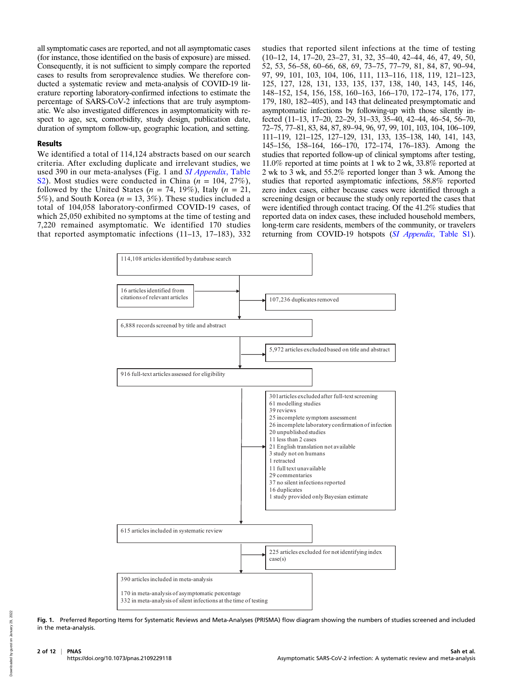all symptomatic cases are reported, and not all asymptomatic cases (for instance, those identified on the basis of exposure) are missed. Consequently, it is not sufficient to simply compare the reported cases to results from seroprevalence studies. We therefore conducted a systematic review and meta-analysis of COVID-19 literature reporting laboratory-confirmed infections to estimate the percentage of SARS-CoV-2 infections that are truly asymptomatic. We also investigated differences in asymptomaticity with respect to age, sex, comorbidity, study design, publication date, duration of symptom follow-up, geographic location, and setting.

#### Results

We identified a total of 114,124 abstracts based on our search criteria. After excluding duplicate and irrelevant studies, we used 390 in our meta-analyses (Fig. 1 and *[SI Appendix](https://www.pnas.org/lookup/suppl/doi:10.1073/pnas.2109229118/-/DCSupplemental)*, Table [S2\)](https://www.pnas.org/lookup/suppl/doi:10.1073/pnas.2109229118/-/DCSupplemental). Most studies were conducted in China ( $n = 104, 27\%$ ), followed by the United States ( $n = 74$ , 19%), Italy ( $n = 21$ , 5%), and South Korea ( $n = 13, 3\%$ ). These studies included a total of 104,058 laboratory-confirmed COVID-19 cases, of which 25,050 exhibited no symptoms at the time of testing and 7,220 remained asymptomatic. We identified 170 studies that reported asymptomatic infections (11–13, 17–183), 332

studies that reported silent infections at the time of testing (10–12, 14, 17–20, 23–27, 31, 32, 35–40, 42–44, 46, 47, 49, 50, 52, 53, 56–58, 60–66, 68, 69, 73–75, 77–79, 81, 84, 87, 90–94, 97, 99, 101, 103, 104, 106, 111, 113–116, 118, 119, 121–123, 125, 127, 128, 131, 133, 135, 137, 138, 140, 143, 145, 146, 148–152, 154, 156, 158, 160–163, 166–170, 172–174, 176, 177, 179, 180, 182–405), and 143 that delineated presymptomatic and asymptomatic infections by following-up with those silently infected (11–13, 17–20, 22–29, 31–33, 35–40, 42–44, 46–54, 56–70, 72–75, 77–81, 83, 84, 87, 89–94, 96, 97, 99, 101, 103, 104, 106–109, 111–119, 121–125, 127–129, 131, 133, 135–138, 140, 141, 143, 145–156, 158–164, 166–170, 172–174, 176–183). Among the studies that reported follow-up of clinical symptoms after testing, 11.0% reported at time points at 1 wk to 2 wk, 33.8% reported at 2 wk to 3 wk, and 55.2% reported longer than 3 wk. Among the studies that reported asymptomatic infections, 58.8% reported zero index cases, either because cases were identified through a screening design or because the study only reported the cases that were identified through contact tracing. Of the 41.2% studies that reported data on index cases, these included household members, long-term care residents, members of the community, or travelers returning from COVID-19 hotspots (SI Appendix[, Table S1\)](https://www.pnas.org/lookup/suppl/doi:10.1073/pnas.2109229118/-/DCSupplemental).



Fig. 1. Preferred Reporting Items for Systematic Reviews and Meta-Analyses (PRISMA) flow diagram showing the numbers of studies screened and included in the meta-analysis.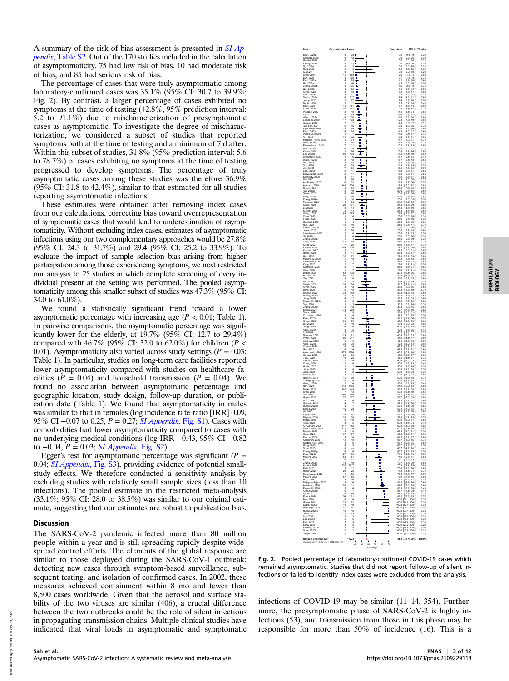A summary of the risk of bias assessment is presented in  $SI$   $Ap$ pendix[, Table S2](https://www.pnas.org/lookup/suppl/doi:10.1073/pnas.2109229118/-/DCSupplemental). Out of the 170 studies included in the calculation of asymptomaticity, 75 had low risk of bias, 10 had moderate risk of bias, and 85 had serious risk of bias.

The percentage of cases that were truly asymptomatic among laboratory-confirmed cases was 35.1% (95% CI: 30.7 to 39.9%; Fig. 2). By contrast, a larger percentage of cases exhibited no symptoms at the time of testing (42.8%, 95% prediction interval: 5.2 to 91.1%) due to mischaracterization of presymptomatic cases as asymptomatic. To investigate the degree of mischaracterization, we considered a subset of studies that reported symptoms both at the time of testing and a minimum of  $7\bar{d}$  after. Within this subset of studies, 31.8% (95% prediction interval: 5.6 to 78.7%) of cases exhibiting no symptoms at the time of testing progressed to develop symptoms. The percentage of truly asymptomatic cases among these studies was therefore 36.9%  $(95\%$  CI: 31.8 to 42.4%), similar to that estimated for all studies reporting asymptomatic infections.

These estimates were obtained after removing index cases from our calculations, correcting bias toward overrepresentation of symptomatic cases that would lead to underestimation of asymptomaticity. Without excluding index cases, estimates of asymptomatic infections using our two complementary approaches would be 27.8% (95% CI: 24.3 to 31.7%) and 29.4 (95% CI: 25.2 to 33.9%). To evaluate the impact of sample selection bias arising from higher participation among those experiencing symptoms, we next restricted our analysis to 25 studies in which complete screening of every individual present at the setting was performed. The pooled asymptomaticity among this smaller subset of studies was 47.3% (95% CI: 34.0 to 61.0%).

We found a statistically significant trend toward a lower asymptomatic percentage with increasing age  $(P < 0.01$ ; Table 1). In pairwise comparisons, the asymptomatic percentage was significantly lower for the elderly, at  $19.7\%$  (95% CI: 12.7 to 29.4%) compared with 46.7% (95% CI: 32.0 to 62.0%) for children ( $P <$ 0.01). Asymptomaticity also varied across study settings ( $P = 0.03$ ; Table 1). In particular, studies on long-term care facilities reported lower asymptomaticity compared with studies on healthcare facilities ( $P = 0.04$ ) and household transmission ( $P = 0.04$ ). We found no association between asymptomatic percentage and geographic location, study design, follow-up duration, or publication date (Table 1). We found that asymptomaticity in males was similar to that in females (log incidence rate ratio [IRR] 0.09, 95% CI –0.07 to 0.25, P = 0.27; [SI Appendix](https://www.pnas.org/lookup/suppl/doi:10.1073/pnas.2109229118/-/DCSupplemental), Fig. S1). Cases with comorbidities had lower asymptomaticity compared to cases with no underlying medical conditions (log IRR −0.43, 95% CI −0.82 to  $-0.04$ ,  $P = 0.03$ ; *[SI Appendix](https://www.pnas.org/lookup/suppl/doi:10.1073/pnas.2109229118/-/DCSupplemental)*, Fig. S2).

Egger's test for asymptomatic percentage was significant ( $P =$ 0.04; [SI Appendix](https://www.pnas.org/lookup/suppl/doi:10.1073/pnas.2109229118/-/DCSupplemental), Fig. S3), providing evidence of potential smallstudy effects. We therefore conducted a sensitivity analysis by excluding studies with relatively small sample sizes (less than 10 infections). The pooled estimate in the restricted meta-analysis  $(33.1\%; 95\% \text{ CI: } 28.0 \text{ to } 38.5\%)$  was similar to our original estimate, suggesting that our estimates are robust to publication bias.

### Discussion

The SARS-CoV-2 pandemic infected more than 80 million people within a year and is still spreading rapidly despite widespread control efforts. The elements of the global response are similar to those deployed during the SARS-CoV-1 outbreak: detecting new cases through symptom-based surveillance, subsequent testing, and isolation of confirmed cases. In 2002, these measures achieved containment within 8 mo and fewer than 8,500 cases worldwide. Given that the aerosol and surface stability of the two viruses are similar (406), a crucial difference between the two outbreaks could be the role of silent infections in propagating transmission chains. Multiple clinical studies have indicated that viral loads in asymptomatic and symptomatic



POPULATION POPULATION<br>BIOLOGY

Fig. 2. Pooled percentage of laboratory-confirmed COVID-19 cases which remained asymptomatic. Studies that did not report follow-up of silent infections or failed to identify index cases were excluded from the analysis.

infections of COVID-19 may be similar (11–14, 354). Furthermore, the presymptomatic phase of SARS-CoV-2 is highly infectious (53), and transmission from those in this phase may be responsible for more than 50% of incidence (16). This is a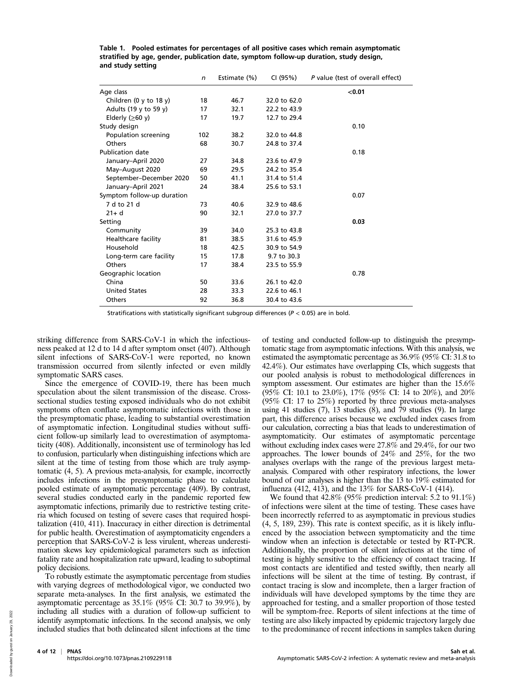|                            | n   | Estimate (%) | CI (95%)     | P value (test of overall effect) |
|----------------------------|-----|--------------|--------------|----------------------------------|
| Age class                  |     |              |              | < 0.01                           |
| Children (0 y to 18 y)     | 18  | 46.7         | 32.0 to 62.0 |                                  |
| Adults (19 y to 59 y)      | 17  | 32.1         | 22.2 to 43.9 |                                  |
| Elderly ( $\geq 60$ y)     | 17  | 19.7         | 12.7 to 29.4 |                                  |
| Study design               |     |              |              | 0.10                             |
| Population screening       | 102 | 38.2         | 32.0 to 44.8 |                                  |
| Others                     | 68  | 30.7         | 24.8 to 37.4 |                                  |
| <b>Publication date</b>    |     |              |              | 0.18                             |
| January-April 2020         | 27  | 34.8         | 23.6 to 47.9 |                                  |
| May-August 2020            | 69  | 29.5         | 24.2 to 35.4 |                                  |
| September-December 2020    | 50  | 41.1         | 31.4 to 51.4 |                                  |
| January-April 2021         | 24  | 38.4         | 25.6 to 53.1 |                                  |
| Symptom follow-up duration |     |              |              | 0.07                             |
| 7 d to 21 d                | 73  | 40.6         | 32.9 to 48.6 |                                  |
| $21 + d$                   | 90  | 32.1         | 27.0 to 37.7 |                                  |
| Setting                    |     |              |              | 0.03                             |
| Community                  | 39  | 34.0         | 25.3 to 43.8 |                                  |
| Healthcare facility        | 81  | 38.5         | 31.6 to 45.9 |                                  |
| Household                  | 18  | 42.5         | 30.9 to 54.9 |                                  |
| Long-term care facility    | 15  | 17.8         | 9.7 to 30.3  |                                  |
| Others                     | 17  | 38.4         | 23.5 to 55.9 |                                  |
| Geographic location        |     |              |              | 0.78                             |
| China                      | 50  | 33.6         | 26.1 to 42.0 |                                  |
| <b>United States</b>       | 28  | 33.3         | 22.6 to 46.1 |                                  |
| Others                     | 92  | 36.8         | 30.4 to 43.6 |                                  |

|                   | Table 1. Pooled estimates for percentages of all positive cases which remain asymptomatic |
|-------------------|-------------------------------------------------------------------------------------------|
|                   | stratified by age, gender, publication date, symptom follow-up duration, study design,    |
| and study setting |                                                                                           |

Stratifications with statistically significant subgroup differences ( $P < 0.05$ ) are in bold.

striking difference from SARS-CoV-1 in which the infectiousness peaked at 12 d to 14 d after symptom onset (407). Although silent infections of SARS-CoV-1 were reported, no known transmission occurred from silently infected or even mildly symptomatic SARS cases.

Since the emergence of COVID-19, there has been much speculation about the silent transmission of the disease. Crosssectional studies testing exposed individuals who do not exhibit symptoms often conflate asymptomatic infections with those in the presymptomatic phase, leading to substantial overestimation of asymptomatic infection. Longitudinal studies without sufficient follow-up similarly lead to overestimation of asymptomaticity (408). Additionally, inconsistent use of terminology has led to confusion, particularly when distinguishing infections which are silent at the time of testing from those which are truly asymptomatic (4, 5). A previous meta-analysis, for example, incorrectly includes infections in the presymptomatic phase to calculate pooled estimate of asymptomatic percentage (409). By contrast, several studies conducted early in the pandemic reported few asymptomatic infections, primarily due to restrictive testing criteria which focused on testing of severe cases that required hospitalization (410, 411). Inaccuracy in either direction is detrimental for public health. Overestimation of asymptomaticity engenders a perception that SARS-CoV-2 is less virulent, whereas underestimation skews key epidemiological parameters such as infection fatality rate and hospitalization rate upward, leading to suboptimal policy decisions.

To robustly estimate the asymptomatic percentage from studies with varying degrees of methodological vigor, we conducted two separate meta-analyses. In the first analysis, we estimated the asymptomatic percentage as  $35.1\%$  (95% CI: 30.7 to 39.9%), by including all studies with a duration of follow-up sufficient to identify asymptomatic infections. In the second analysis, we only included studies that both delineated silent infections at the time of testing and conducted follow-up to distinguish the presymptomatic stage from asymptomatic infections. With this analysis, we estimated the asymptomatic percentage as 36.9% (95% CI: 31.8 to 42.4%). Our estimates have overlapping CIs, which suggests that our pooled analysis is robust to methodological differences in symptom assessment. Our estimates are higher than the 15.6% (95% CI: 10.1 to 23.0%), 17% (95% CI: 14 to 20%), and 20% (95% CI: 17 to 25%) reported by three previous meta-analyses using 41 studies  $(7)$ , 13 studies  $(8)$ , and  $79$  studies  $(9)$ . In large part, this difference arises because we excluded index cases from our calculation, correcting a bias that leads to underestimation of asymptomaticity. Our estimates of asymptomatic percentage without excluding index cases were 27.8% and 29.4%, for our two approaches. The lower bounds of 24% and 25%, for the two analyses overlaps with the range of the previous largest metaanalysis. Compared with other respiratory infections, the lower bound of our analyses is higher than the 13 to 19% estimated for influenza (412, 413), and the 13% for SARS-CoV-1 (414).

We found that  $42.8\%$  (95% prediction interval: 5.2 to 91.1%) of infections were silent at the time of testing. These cases have been incorrectly referred to as asymptomatic in previous studies (4, 5, 189, 239). This rate is context specific, as it is likely influenced by the association between symptomaticity and the time window when an infection is detectable or tested by RT-PCR. Additionally, the proportion of silent infections at the time of testing is highly sensitive to the efficiency of contact tracing. If most contacts are identified and tested swiftly, then nearly all infections will be silent at the time of testing. By contrast, if contact tracing is slow and incomplete, then a larger fraction of individuals will have developed symptoms by the time they are approached for testing, and a smaller proportion of those tested will be symptom-free. Reports of silent infections at the time of testing are also likely impacted by epidemic trajectory largely due to the predominance of recent infections in samples taken during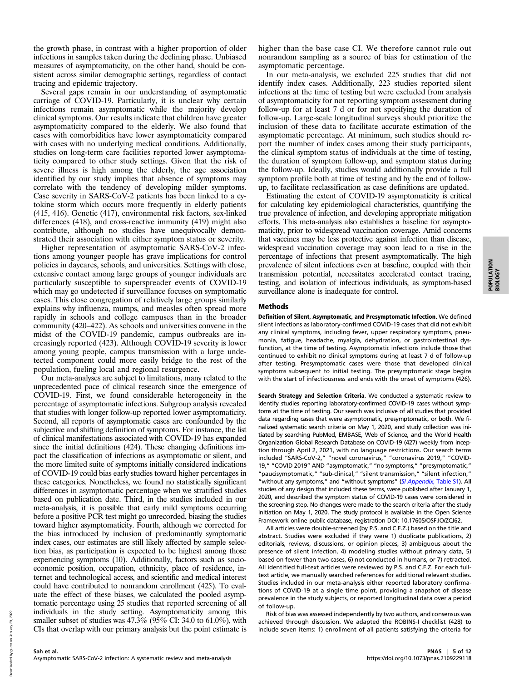the growth phase, in contrast with a higher proportion of older infections in samples taken during the declining phase. Unbiased measures of asymptomaticity, on the other hand, should be consistent across similar demographic settings, regardless of contact tracing and epidemic trajectory.

Several gaps remain in our understanding of asymptomatic carriage of COVID-19. Particularly, it is unclear why certain infections remain asymptomatic while the majority develop clinical symptoms. Our results indicate that children have greater asymptomaticity compared to the elderly. We also found that cases with comorbidities have lower asymptomaticity compared with cases with no underlying medical conditions. Additionally, studies on long-term care facilities reported lower asymptomaticity compared to other study settings. Given that the risk of severe illness is high among the elderly, the age association identified by our study implies that absence of symptoms may correlate with the tendency of developing milder symptoms. Case severity in SARS-CoV-2 patients has been linked to a cytokine storm which occurs more frequently in elderly patients (415, 416). Genetic (417), environmental risk factors, sex-linked differences (418), and cross-reactive immunity (419) might also contribute, although no studies have unequivocally demonstrated their association with either symptom status or severity.

Higher representation of asymptomatic SARS-CoV-2 infections among younger people has grave implications for control policies in daycares, schools, and universities. Settings with close, extensive contact among large groups of younger individuals are particularly susceptible to superspreader events of COVID-19 which may go undetected if surveillance focuses on symptomatic cases. This close congregation of relatively large groups similarly explains why influenza, mumps, and measles often spread more rapidly in schools and college campuses than in the broader community (420–422). As schools and universities convene in the midst of the COVID-19 pandemic, campus outbreaks are increasingly reported (423). Although COVID-19 severity is lower among young people, campus transmission with a large undetected component could more easily bridge to the rest of the population, fueling local and regional resurgence.

Our meta-analyses are subject to limitations, many related to the unprecedented pace of clinical research since the emergence of COVID-19. First, we found considerable heterogeneity in the percentage of asymptomatic infections. Subgroup analysis revealed that studies with longer follow-up reported lower asymptomaticity. Second, all reports of asymptomatic cases are confounded by the subjective and shifting definition of symptoms. For instance, the list of clinical manifestations associated with COVID-19 has expanded since the initial definitions (424). These changing definitions impact the classification of infections as asymptomatic or silent, and the more limited suite of symptoms initially considered indications of COVID-19 could bias early studies toward higher percentages in these categories. Nonetheless, we found no statistically significant differences in asymptomatic percentage when we stratified studies based on publication date. Third, in the studies included in our meta-analysis, it is possible that early mild symptoms occurring before a positive PCR test might go unrecorded, biasing the studies toward higher asymptomaticity. Fourth, although we corrected for the bias introduced by inclusion of predominantly symptomatic index cases, our estimates are still likely affected by sample selection bias, as participation is expected to be highest among those experiencing symptoms (10). Additionally, factors such as socioeconomic position, occupation, ethnicity, place of residence, internet and technological access, and scientific and medical interest could have contributed to nonrandom enrollment (425). To evaluate the effect of these biases, we calculated the pooled asymptomatic percentage using 25 studies that reported screening of all individuals in the study setting. Asymptomaticity among this smaller subset of studies was  $47.3\%$  (95% CI: 34.0 to 61.0%), with CIs that overlap with our primary analysis but the point estimate is higher than the base case CI. We therefore cannot rule out nonrandom sampling as a source of bias for estimation of the asymptomatic percentage.

In our meta-analysis, we excluded 225 studies that did not identify index cases. Additionally, 223 studies reported silent infections at the time of testing but were excluded from analysis of asymptomaticity for not reporting symptom assessment during follow-up for at least 7 d or for not specifying the duration of follow-up. Large-scale longitudinal surveys should prioritize the inclusion of these data to facilitate accurate estimation of the asymptomatic percentage. At minimum, such studies should report the number of index cases among their study participants, the clinical symptom status of individuals at the time of testing, the duration of symptom follow-up, and symptom status during the follow-up. Ideally, studies would additionally provide a full symptom profile both at time of testing and by the end of followup, to facilitate reclassification as case definitions are updated.

Estimating the extent of COVID-19 asymptomaticity is critical for calculating key epidemiological characteristics, quantifying the true prevalence of infection, and developing appropriate mitigation efforts. This meta-analysis also establishes a baseline for asymptomaticity, prior to widespread vaccination coverage. Amid concerns that vaccines may be less protective against infection than disease, widespread vaccination coverage may soon lead to a rise in the percentage of infections that present asymptomatically. The high prevalence of silent infections even at baseline, coupled with their transmission potential, necessitates accelerated contact tracing, testing, and isolation of infectious individuals, as symptom-based surveillance alone is inadequate for control.

#### Methods

Definition of Silent, Asymptomatic, and Presymptomatic Infection. We defined silent infections as laboratory-confirmed COVID-19 cases that did not exhibit any clinical symptoms, including fever, upper respiratory symptoms, pneumonia, fatigue, headache, myalgia, dehydration, or gastrointestinal dysfunction, at the time of testing. Asymptomatic infections include those that continued to exhibit no clinical symptoms during at least 7 d of follow-up after testing. Presymptomatic cases were those that developed clinical symptoms subsequent to initial testing. The presymptomatic stage begins with the start of infectiousness and ends with the onset of symptoms (426).

Search Strategy and Selection Criteria. We conducted a systematic review to identify studies reporting laboratory-confirmed COVID-19 cases without symptoms at the time of testing. Our search was inclusive of all studies that provided data regarding cases that were asymptomatic, presymptomatic, or both. We finalized systematic search criteria on May 1, 2020, and study collection was initiated by searching PubMed, EMBASE, Web of Science, and the World Health Organization Global Research Database on COVID-19 (427) weekly from inception through April 2, 2021, with no language restrictions. Our search terms included "SARS-CoV-2," "novel coronavirus," "coronavirus 2019," "COVID-19," "COVID 2019" AND "asymptomatic," "no symptoms," "presymptomatic," "paucisymptomatic," "sub-clinical," "silent transmission," "silent infection," "without any symptoms," and "without symptoms" ([SI Appendix](https://www.pnas.org/lookup/suppl/doi:10.1073/pnas.2109229118/-/DCSupplemental), Table S1). All studies of any design that included these terms, were published after January 1, 2020, and described the symptom status of COVID-19 cases were considered in the screening step. No changes were made to the search criteria after the study initiation on May 1, 2020. The study protocol is available in the Open Science Framework online public database, registration DOI: 10.17605/OSF.IO/ZCJ62.

All articles were double-screened (by P.S. and C.F.Z.) based on the title and abstract. Studies were excluded if they were 1) duplicate publications, 2) editorials, reviews, discussions, or opinion pieces, 3) ambiguous about the presence of silent infection, 4) modeling studies without primary data, 5) based on fewer than two cases, 6) not conducted in humans, or 7) retracted. All identified full-text articles were reviewed by P.S. and C.F.Z. For each fulltext article, we manually searched references for additional relevant studies. Studies included in our meta-analysis either reported laboratory confirmations of COVID-19 at a single time point, providing a snapshot of disease prevalence in the study subjects, or reported longitudinal data over a period of follow-up.

Risk of bias was assessed independently by two authors, and consensus was achieved through discussion. We adapted the ROBINS-I checklist (428) to include seven items: 1) enrollment of all patients satisfying the criteria for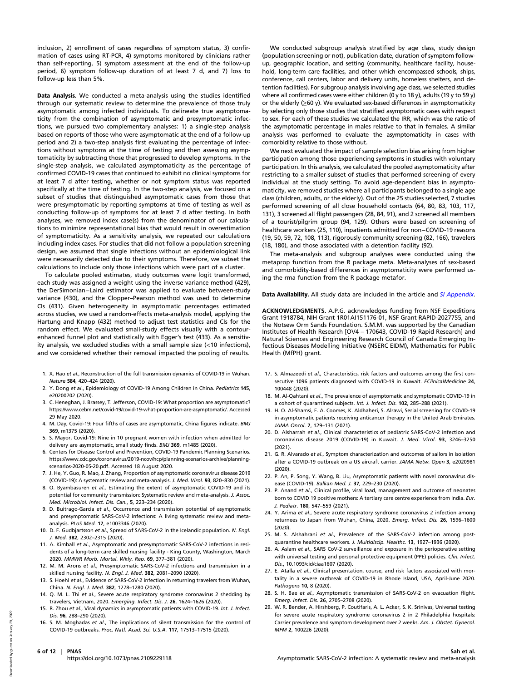inclusion, 2) enrollment of cases regardless of symptom status, 3) confirmation of cases using RT-PCR, 4) symptoms monitored by clinicians rather than self-reporting, 5) symptom assessment at the end of the follow-up period, 6) symptom follow-up duration of at least 7 d, and 7) loss to follow-up less than 5%.

Data Analysis. We conducted a meta-analysis using the studies identified through our systematic review to determine the prevalence of those truly asymptomatic among infected individuals. To delineate true asymptomaticity from the combination of asymptomatic and presymptomatic infections, we pursued two complementary analyses: 1) a single-step analysis based on reports of those who were asymptomatic at the end of a follow-up period and 2) a two-step analysis first evaluating the percentage of infections without symptoms at the time of testing and then assessing asymptomaticity by subtracting those that progressed to develop symptoms. In the single-step analysis, we calculated asymptomaticity as the percentage of confirmed COVID-19 cases that continued to exhibit no clinical symptoms for at least 7 d after testing, whether or not symptom status was reported specifically at the time of testing. In the two-step analysis, we focused on a subset of studies that distinguished asymptomatic cases from those that were presymptomatic by reporting symptoms at time of testing as well as conducting follow-up of symptoms for at least 7 d after testing. In both analyses, we removed index case(s) from the denominator of our calculations to minimize representational bias that would result in overestimation of symptomaticity. As a sensitivity analysis, we repeated our calculations including index cases. For studies that did not follow a population screening design, we assumed that single infections without an epidemiological link were necessarily detected due to their symptoms. Therefore, we subset the calculations to include only those infections which were part of a cluster.

To calculate pooled estimates, study outcomes were logit transformed, each study was assigned a weight using the inverse variance method (429), the DerSimonian−Laird estimator was applied to evaluate between-study variance (430), and the Clopper–Pearson method was used to determine CIs (431). Given heterogeneity in asymptomatic percentages estimated across studies, we used a random-effects meta-analysis model, applying the Hartung and Knapp (432) method to adjust test statistics and CIs for the random effect. We evaluated small-study effects visually with a contourenhanced funnel plot and statistically with Egger's test (433). As a sensitivity analysis, we excluded studies with a small sample size (<10 infections), and we considered whether their removal impacted the pooling of results.

- 1. X. Hao et al., Reconstruction of the full transmission dynamics of COVID-19 in Wuhan. Nature 584, 420–424 (2020).
- 2. Y. Dong et al., Epidemiology of COVID-19 Among Children in China. Pediatrics 145, e20200702 (2020).
- 3. C. Heneghan, J. Brassey, T. Jefferson, COVID-19: What proportion are asymptomatic? [https://www.cebm.net/covid-19/covid-19-what-proportion-are-asymptomatic/.](https://www.cebm.net/covid-19/covid-19-what-proportion-are-asymptomatic/) Accessed 29 May 2020.
- 4. M. Day, Covid-19: Four fifths of cases are asymptomatic, China figures indicate. BMJ 369, m1375 (2020).
- 5. S. Mayor, Covid-19: Nine in 10 pregnant women with infection when admitted for delivery are asymptomatic, small study finds. BMJ 369, m1485 (2020).
- 6. Centers for Disease Control and Prevention, COVID-19 Pandemic Planning Scenarios. [https://www.cdc.gov/coronavirus/2019-ncov/hcp/planning-scenarios-archive/planning](https://www.cdc.gov/coronavirus/2019-ncov/hcp/planning-scenarios-archive/planning-scenarios-2020-05-20.pdf)[scenarios-2020-05-20.pdf](https://www.cdc.gov/coronavirus/2019-ncov/hcp/planning-scenarios-archive/planning-scenarios-2020-05-20.pdf). Accessed 18 August 2020.
- 7. J. He, Y. Guo, R. Mao, J. Zhang, Proportion of asymptomatic coronavirus disease 2019 (COVID-19): A systematic review and meta-analysis. J. Med. Virol. 93, 820–830 (2021).
- 8. O. Byambasuren et al., Estimating the extent of asymptomatic COVID-19 and its potential for community transmission: Systematic review and meta-analysis. J. Assoc. Med. Microbiol. Infect. Dis. Can., 5, 223–234 (2020).
- 9. D. Buitrago-Garcia et al., Occurrence and transmission potential of asymptomatic and presymptomatic SARS-CoV-2 infections: A living systematic review and metaanalysis. PLoS Med. 17, e1003346 (2020).
- 10. D. F. Gudbjartsson et al., Spread of SARS-CoV-2 in the Icelandic population. N. Engl. J. Med. 382, 2302–2315 (2020).
- 11. A. Kimball et al., Asymptomatic and presymptomatic SARS-CoV-2 infections in residents of a long-term care skilled nursing facility - King County, Washington, March 2020. MMWR Morb. Mortal. Wkly. Rep. 69, 377–381 (2020).
- 12. M. M. Arons et al., Presymptomatic SARS-CoV-2 infections and transmission in a skilled nursing facility. N. Engl. J. Med. 382, 2081–2090 (2020).
- 13. S. Hoehl et al., Evidence of SARS-CoV-2 infection in returning travelers from Wuhan, China. N. Engl. J. Med. 382, 1278–1280 (2020).
- 14. Q. M. L. Thi et al., Severe acute respiratory syndrome coronavirus 2 shedding by travelers, Vietnam, 2020. Emerging. Infect. Dis. J. 26, 1624–1626 (2020).
- 15. R. Zhou et al., Viral dynamics in asymptomatic patients with COVID-19. Int. J. Infect. Dis. 96, 288–290 (2020).
- 16. S. M. Moghadas et al., The implications of silent transmission for the control of COVID-19 outbreaks. Proc. Natl. Acad. Sci. U.S.A. 117, 17513–17515 (2020).

We conducted subgroup analysis stratified by age class, study design (population screening or not), publication date, duration of symptom followup, geographic location, and setting (community, healthcare facility, household, long-term care facilities, and other which encompassed schools, ships, conference, call centers, labor and delivery units, homeless shelters, and detention facilities). For subgroup analysis involving age class, we selected studies where all confirmed cases were either children (0 y to 18 y), adults (19 y to 59 y) or the elderly (≥60 y). We evaluated sex-based differences in asymptomaticity by selecting only those studies that stratified asymptomatic cases with respect to sex. For each of these studies we calculated the IRR, which was the ratio of the asymptomatic percentage in males relative to that in females. A similar analysis was performed to evaluate the asymptomaticity in cases with comorbidity relative to those without.

We next evaluated the impact of sample selection bias arising from higher participation among those experiencing symptoms in studies with voluntary participation. In this analysis, we calculated the pooled asymptomaticity after restricting to a smaller subset of studies that performed screening of every individual at the study setting. To avoid age-dependent bias in asymptomaticity, we removed studies where all participants belonged to a single age class (children, adults, or the elderly). Out of the 25 studies selected, 7 studies performed screening of all close household contacts (64, 80, 83, 103, 117, 131), 3 screened all flight passengers (28, 84, 91), and 2 screened all members of a tourist/pilgrim group (94, 129). Others were based on screening of healthcare workers (25, 110), inpatients admitted for non−COVID-19 reasons (19, 50, 59, 72, 108, 113), rigorously community screening (82, 166), travelers (18, 180), and those associated with a detention facility (92).

The meta-analysis and subgroup analyses were conducted using the metaprop function from the R package meta. Meta-analyses of sex-based and comorbidity-based differences in asymptomaticity were performed using the rma function from the R package metafor.

Data Availability. All study data are included in the article and [SI Appendix](https://www.pnas.org/lookup/suppl/doi:10.1073/pnas.2109229118/-/DCSupplemental).

ACKNOWLEDGMENTS. A.P.G. acknowledges funding from NSF Expeditions Grant 1918784, NIH Grant 1R01AI151176-01, NSF Grant RAPID-2027755, and the Notsew Orm Sands Foundation. S.M.M. was supported by the Canadian Institutes of Health Research [OV4 – 170643, COVID-19 Rapid Research] and Natural Sciences and Engineering Research Council of Canada Emerging Infectious Diseases Modelling Initiative (NSERC EIDM), Mathematics for Public Health (MfPH) grant.

- 17. S. Almazeedi et al., Characteristics, risk factors and outcomes among the first consecutive 1096 patients diagnosed with COVID-19 in Kuwait. EClinicalMedicine 24, 100448 (2020).
- 18. M. Al-Qahtani et al., The prevalence of asymptomatic and symptomatic COVID-19 in a cohort of quarantined subjects. Int. J. Infect. Dis. 102, 285–288 (2021).
- 19. H. O. Al-Shamsi, E. A. Coomes, K. Aldhaheri, S. Alrawi, Serial screening for COVID-19 in asymptomatic patients receiving anticancer therapy in the United Arab Emirates. JAMA Oncol. 7, 129–131 (2021).
- 20. D. Alsharrah et al., Clinical characteristics of pediatric SARS-CoV-2 infection and coronavirus disease 2019 (COVID-19) in Kuwait. J. Med. Virol. 93, 3246–3250 (2021).
- 21. G. R. Alvarado et al., Symptom characterization and outcomes of sailors in isolation after a COVID-19 outbreak on a US aircraft carrier. JAMA Netw. Open 3, e2020981 (2020).
- 22. P. An, P. Song, Y. Wang, B. Liu, Asymptomatic patients with novel coronavirus disease (COVID-19). Balkan Med. J. 37, 229–230 (2020).
- 23. P. Anand et al., Clinical profile, viral load, management and outcome of neonates born to COVID 19 positive mothers: A tertiary care centre experience from India. Eur. J. Pediatr. 180, 547–559 (2021).
- 24. Y. Arima et al., Severe acute respiratory syndrome coronavirus 2 infection among returnees to Japan from Wuhan, China, 2020. Emerg. Infect. Dis. 26, 1596–1600 (2020).
- 25. M. S. Alshahrani et al., Prevalence of the SARS-CoV-2 infection among postquarantine healthcare workers. J. Multidiscip. Healthc. 13, 1927-1936 (2020).
- 26. A. Aslam et al., SARS CoV-2 surveillance and exposure in the perioperative setting with universal testing and personal protective equipment (PPE) policies. Clin. Infect. Dis., 10.1093/cid/ciaa1607 (2020).
- 27. E. Atalla et al., Clinical presentation, course, and risk factors associated with mortality in a severe outbreak of COVID-19 in Rhode Island, USA, April-June 2020. Pathogens 10, 8 (2020).
- 28. S. H. Bae et al., Asymptomatic transmission of SARS-CoV-2 on evacuation flight. Emerg. Infect. Dis. 26, 2705–2708 (2020).
- 29. W. R. Bender, A. Hirshberg, P. Coutifaris, A. L. Acker, S. K. Srinivas, Universal testing for severe acute respiratory syndrome coronavirus 2 in 2 Philadelphia hospitals: Carrier prevalence and symptom development over 2 weeks. Am. J. Obstet. Gynecol. MFM 2, 100226 (2020).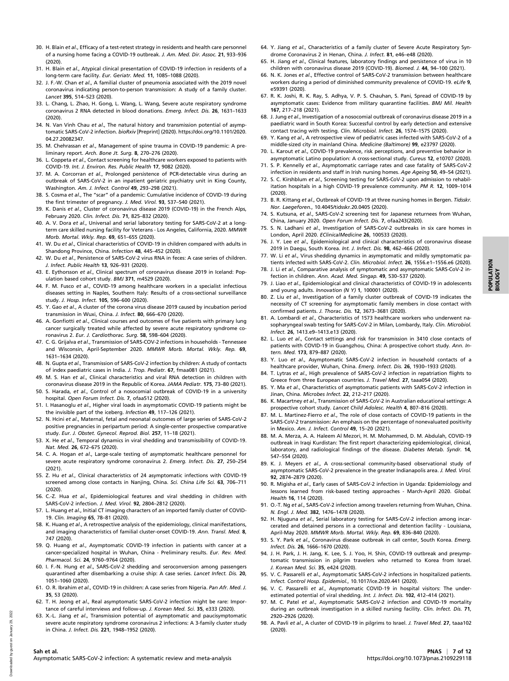- 30. H. Blain et al., Efficacy of a test-retest strategy in residents and health care personnel of a nursing home facing a COVID-19 outbreak. J. Am. Med. Dir. Assoc. 21, 933–936 (2020).
- 31. H. Blain et al., Atypical clinical presentation of COVID-19 infection in residents of a long-term care facility. Eur. Geriatr. Med. 11, 1085–1088 (2020).
- 32. J. F.-W. Chan et al., A familial cluster of pneumonia associated with the 2019 novel coronavirus indicating person-to-person transmission: A study of a family cluster. Lancet 395, 514–523 (2020).
- 33. L. Chang, L. Zhao, H. Gong, L. Wang, L. Wang, Severe acute respiratory syndrome coronavirus 2 RNA detected in blood donations. Emerg. Infect. Dis. 26, 1631–1633 (2020).
- 34. N. Van Vinh Chau et al., The natural history and transmission potential of asymptomatic SARS-CoV-2 infection. bioRxiv [Preprint] (2020). [https://doi.org/10.1101/2020.](https://doi.org/10.1101/2020.04.27.20082347) [04.27.20082347](https://doi.org/10.1101/2020.04.27.20082347).
- 35. M. Chehrassan et al., Management of spine trauma in COVID-19 pandemic: A preliminary report. Arch. Bone Jt. Surg. 8, 270–276 (2020).
- 36. L. Coppeta et al., Contact screening for healthcare workers exposed to patients with COVID-19. Int. J. Environ. Res. Public Health 17, 9082 (2020).
- 37. M. A. Corcorran et al., Prolonged persistence of PCR-detectable virus during an outbreak of SARS-CoV-2 in an inpatient geriatric psychiatry unit in King County, Washington. Am. J. Infect. Control 49, 293–298 (2021).
- 38. S. Cosma et al., The "scar" of a pandemic: Cumulative incidence of COVID-19 during the first trimester of pregnancy. J. Med. Virol. 93, 537-540 (2021).
- 39. K. Danis et al., Cluster of coronavirus disease 2019 (COVID-19) in the French Alps, February 2020. Clin. Infect. Dis. 71, 825–832 (2020).
- 40. A. V. Dora et al., Universal and serial laboratory testing for SARS-CoV-2 at a longterm care skilled nursing facility for Veterans - Los Angeles, California, 2020. MMWR Morb. Mortal. Wkly. Rep. 69, 651–655 (2020).
- 41. W. Du et al., Clinical characteristics of COVID-19 in children compared with adults in Shandong Province, China. Infection 48, 445-452 (2020).
- 42. W. Du et al., Persistence of SARS-CoV-2 virus RNA in feces: A case series of children. J. Infect. Public Health 13, 926–931 (2020).
- 43. E. Eythorsson et al., Clinical spectrum of coronavirus disease 2019 in Iceland: Population based cohort study. BMJ 371, m4529 (2020).
- 44. F. M. Fusco et al., COVID-19 among healthcare workers in a specialist infectious diseases setting in Naples, Southern Italy: Results of a cross-sectional surveillance study. J. Hosp. Infect. 105, 596–600 (2020).
- 45. Y. Gao et al., A cluster of the corona virus disease 2019 caused by incubation period transmission in Wuxi, China. J. Infect. 80, 666–670 (2020).
- 46. A. Gonfiotti et al., Clinical courses and outcomes of five patients with primary lung cancer surgically treated while affected by severe acute respiratory syndrome coronavirus 2. Eur. J. Cardiothorac. Surg. 58, 598–604 (2020).
- 47. C. G. Grijalva et al., Transmission of SARS-COV-2 infections in households Tennessee and Wisconsin, April-September 2020. MMWR Morb. Mortal. Wkly. Rep. 69, 1631–1634 (2020).
- 48. N. Gupta et al., Transmission of SARS-CoV-2 infection by children: A study of contacts of index paediatric cases in India. J. Trop. Pediatr. 67, fmaa081 (2021).
- 49. M. S. Han et al., Clinical characteristics and viral RNA detection in children with coronavirus disease 2019 in the Republic of Korea. JAMA Pediatr. 175, 73–80 (2021).
- 50. S. Harada, et al., Control of a nosocomial outbreak of COVID-19 in a university hospital. Open Forum Infect. Dis. 7, ofaa512 (2020).
- 51. I. Hasanoglu et al., Higher viral loads in asymptomatic COVID-19 patients might be the invisible part of the iceberg. Infection 49, 117–126 (2021).
- 52. N. Hcini et al., Maternal, fetal and neonatal outcomes of large series of SARS-CoV-2 positive pregnancies in peripartum period: A single-center prospective comparative study. Eur. J. Obstet. Gynecol. Reprod. Biol. 257, 11–18 (2021).
- 53. X. He et al., Temporal dynamics in viral shedding and transmissibility of COVID-19. Nat. Med. 26, 672–675 (2020).
- 54. C. A. Hogan et al., Large-scale testing of asymptomatic healthcare personnel for severe acute respiratory syndrome coronavirus 2. Emerg. Infect. Dis. 27, 250–254 (2021).
- 55. Z. Hu et al., Clinical characteristics of 24 asymptomatic infections with COVID-19 screened among close contacts in Nanjing, China. Sci. China Life Sci. 63, 706-711 (2020).
- 56. C.-Z. Hua et al., Epidemiological features and viral shedding in children with SARS-CoV-2 infection. J. Med. Virol. 92, 2804–2812 (2020).
- 57. L. Huang et al., Initial CT imaging characters of an imported family cluster of COVID-19. Clin. Imaging 65, 78–81 (2020).
- 58. K. Huang et al., A retrospective analysis of the epidemiology, clinical manifestations, and imaging characteristics of familial cluster-onset COVID-19. Ann. Transl. Med. 8, 747 (2020).
- 59. Q. Huang et al., Asymptomatic COVID-19 infection in patients with cancer at a cancer-specialized hospital in Wuhan, China - Preliminary results. Eur. Rev. Med. Pharmacol. Sci. 24, 9760–9764 (2020).
- 60. I. F.-N. Hung et al., SARS-CoV-2 shedding and seroconversion among passengers quarantined after disembarking a cruise ship: A case series. Lancet Infect. Dis. 20, 1051–1060 (2020).
- 61. O. R. Ibrahim et al., COVID-19 in children: A case series from Nigeria. Pan Afr. Med. J. 35, 53 (2020).
- 62. T. H. Jeong et al., Real asymptomatic SARS-CoV-2 infection might be rare: Importance of careful interviews and follow-up. J. Korean Med. Sci. 35, e333 (2020).
- 63. X.-L. Jiang et al., Transmission potential of asymptomatic and paucisymptomatic severe acute respiratory syndrome coronavirus 2 infections: A 3-family cluster study in China. J. Infect. Dis. 221, 1948–1952 (2020).
- 64. Y. Jiang et al., Characteristics of a family cluster of Severe Acute Respiratory Syndrome Coronavirus 2 in Henan, China. J. Infect. 81, e46-e48 (2020).
- 65. H. Jiang et al., Clinical features, laboratory findings and persistence of virus in 10 children with coronavirus disease 2019 (COVID-19). Biomed. J. 44, 94–100 (2021).
- 66. N. K. Jones et al., Effective control of SARS-CoV-2 transmission between healthcare workers during a period of diminished community prevalence of COVID-19. eLife 9, e59391 (2020).
- 67. R. K. Joshi, R. K. Ray, S. Adhya, V. P. S. Chauhan, S. Pani, Spread of COVID-19 by asymptomatic cases: Evidence from military quarantine facilities. BMJ Mil. Health 167, 217–218 (2021).
- 68. J. Jung et al., Investigation of a nosocomial outbreak of coronavirus disease 2019 in a paediatric ward in South Korea: Successful control by early detection and extensive contact tracing with testing. Clin. Microbiol. Infect. 26, 1574–1575 (2020).
- 69. Y. Kang et al., A retrospective view of pediatric cases infected with SARS-CoV-2 of a middle-sized city in mainland China. Medicine (Baltimore) 99, e23797 (2020).
- 70. L. Karout et al., COVID-19 prevalence, risk perceptions, and preventive behavior in asymptomatic Latino population: A cross-sectional study. Cureus 12, e10707 (2020).
- 71. S. P. Kennelly et al., Asymptomatic carriage rates and case fatality of SARS-CoV-2 infection in residents and staff in Irish nursing homes. Age Ageing 50, 49–54 (2021).
- 72. S. C. Kirshblum et al., Screening testing for SARS-CoV-2 upon admission to rehabilitation hospitals in a high COVID-19 prevalence community. PM R. 12, 1009–1014 (2020).
- 73. B. R. Kittang et al., Outbreak of COVID-19 at three nursing homes in Bergen. Tidsskr. Nor. Laegeforen., 10.4045/tidsskr.20.0405 (2020).
- 74. S. Kutsuna, et al., SARS-CoV-2 screening test for Japanese returnees from Wuhan, China, January 2020. Open Forum Infect. Dis. 7, ofaa243(2020).
- 75. S. N. Ladhani et al., Investigation of SARS-CoV-2 outbreaks in six care homes in London, April 2020. EClinicalMedicine 26, 100533 (2020).
- 76. J. Y. Lee et al., Epidemiological and clinical characteristics of coronavirus disease 2019 in Daegu, South Korea. Int. J. Infect. Dis. 98, 462–466 (2020).
- 77. W. Li et al., Virus shedding dynamics in asymptomatic and mildly symptomatic patients infected with SARS-CoV-2. Clin. Microbiol. Infect. 26, 1556.e1–1556.e6 (2020).
- 78. J. Li et al., Comparative analysis of symptomatic and asymptomatic SARS-CoV-2 infection in children. Ann. Acad. Med. Singap. 49, 530–537 (2020).
- 79. J. Liao et al., Epidemiological and clinical characteristics of COVID-19 in adolescents and young adults. Innovation (N Y) 1, 100001 (2020).
- 80. Z. Liu et al., Investigation of a family cluster outbreak of COVID-19 indicates the necessity of CT screening for asymptomatic family members in close contact with confirmed patients. J. Thorac. Dis. 12, 3673–3681 (2020).
- 81. A. Lombardi et al., Characteristics of 1573 healthcare workers who underwent nasopharyngeal swab testing for SARS-CoV-2 in Milan, Lombardy, Italy. Clin. Microbiol. Infect. 26, 1413.e9–1413.e13 (2020).
- 82. L. Luo et al., Contact settings and risk for transmission in 3410 close contacts of patients with COVID-19 in Guangzhou, China: A prospective cohort study. Ann. Intern. Med. 173, 879–887 (2020).
- 83. Y. Luo et al., Asymptomatic SARS-CoV-2 infection in household contacts of a healthcare provider, Wuhan, China. Emerg. Infect. Dis. 26, 1930–1933 (2020).
- 84. T. Lytras et al., High prevalence of SARS-CoV-2 infection in repatriation flights to Greece from three European countries. J. Travel Med. 27, taaa054 (2020).
- 85. Y. Ma et al., Characteristics of asymptomatic patients with SARS-CoV-2 infection in Jinan, China. Microbes Infect. 22, 212–217 (2020).
- 86. K. Macartney et al., Transmission of SARS-CoV-2 in Australian educational settings: A prospective cohort study. Lancet Child Adolesc. Health 4, 807-816 (2020).
- 87. M. L. Martinez-Fierro et al., The role of close contacts of COVID-19 patients in the SARS-CoV-2 transmission: An emphasis on the percentage of nonevaluated positivity in Mexico. Am. J. Infect. Control 49, 15–20 (2021).
- 88. M. A. Merza, A. A. Haleem Al Mezori, H. M. Mohammed, D. M. Abdulah, COVID-19 outbreak in Iraqi Kurdistan: The first report characterizing epidemiological, clinical, laboratory, and radiological findings of the disease. Diabetes Metab. Syndr. 14, 547–554 (2020).
- 89. K. J. Meyers et al., A cross-sectional community-based observational study of asymptomatic SARS-CoV-2 prevalence in the greater Indianapolis area. J. Med. Virol. 92, 2874–2879 (2020).
- 90. R. Migisha et al., Early cases of SARS-CoV-2 infection in Uganda: Epidemiology and lessons learned from risk-based testing approaches - March-April 2020. Global. Health 16, 114 (2020).
- 91. O.-T. Ng et al., SARS-CoV-2 infection among travelers returning from Wuhan, China. N. Engl. J. Med. 382, 1476–1478 (2020).
- 92. H. Njuguna et al., Serial laboratory testing for SARS-CoV-2 infection among incarcerated and detained persons in a correctional and detention facility - Louisiana, April-May 2020. MMWR Morb. Mortal. Wkly. Rep. 69, 836–840 (2020).
- 93. S. Y. Park et al., Coronavirus disease outbreak in call center, South Korea. Emerg. Infect. Dis. 26, 1666–1670 (2020).
- 94. J. H. Park, J. H. Jang, K. Lee, S. J. Yoo, H. Shin, COVID-19 outbreak and presymptomatic transmission in pilgrim travelers who returned to Korea from Israel. J. Korean Med. Sci. 35, e424 (2020).
- 95. V. C. Passarelli et al., Asymptomatic SARS-CoV-2 infections in hospitalized patients. Infect. Control Hosp. Epidemiol., 10.1017/ice.2020.441 (2020).
- 96. V. C. Passarelli et al., Asymptomatic COVID-19 in hospital visitors: The underestimated potential of viral shedding. Int. J. Infect. Dis. 102, 412-414 (2021).
- 97. M. C. Patel et al., Asymptomatic SARS-CoV-2 infection and COVID-19 mortality during an outbreak investigation in a skilled nursing facility. Clin. Infect. Dis. 71, 2920–2926 (2020).
- 98. A. Pavli et al., A cluster of COVID-19 in pilgrims to Israel. J. Travel Med. 27, taaa102 (2020).

POPULATION POPULATION<br>BIOLOGY

Asymptomatic SARS-CoV-2 infection: A systematic review and meta-analysis<https://doi.org/10.1073/pnas.2109229118>

Downloaded by guest on January 29, 2022

Downloaded by guest on

 $202$ January 29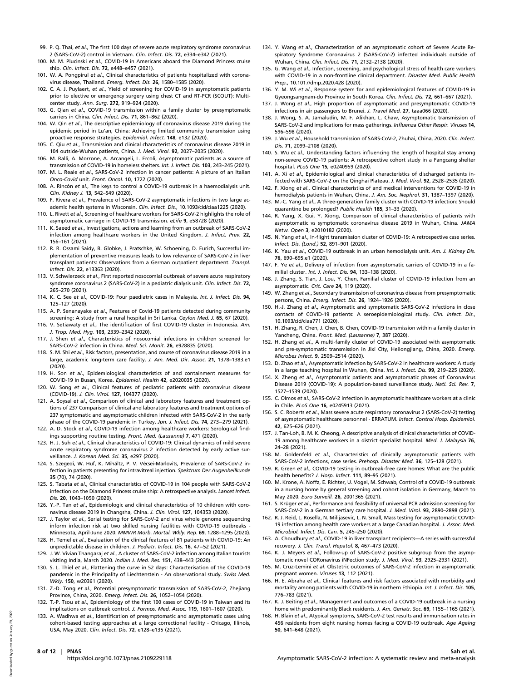- 99. P. Q. Thai, et al., The first 100 days of severe acute respiratory syndrome coronavirus 2 (SARS-CoV-2) control in Vietnam. Clin. Infect. Dis. 72, e334–e342 (2021).
- 100. M. M. Plucinski et al., COVID-19 in Americans aboard the Diamond Princess cruise ship. Clin. Infect. Dis. 72, e448–e457 (2021).
- 101. W. A. Pongpirul et al., Clinical characteristics of patients hospitalized with coronavirus disease, Thailand. Emerg. Infect. Dis. 26, 1580–1585 (2020).
- 102. C. A. J. Puylaert, et al., Yield of screening for COVID-19 in asymptomatic patients prior to elective or emergency surgery using chest CT and RT-PCR (SCOUT): Multicenter study. Ann. Surg. 272, 919–924 (2020).
- 103. G. Qian et al., COVID-19 transmission within a family cluster by presymptomatic carriers in China. Clin. Infect. Dis. 71, 861-862 (2020).
- 104. W. Qin et al., The descriptive epidemiology of coronavirus disease 2019 during the epidemic period in Lu'an, China: Achieving limited community transmission using proactive response strategies. Epidemiol. Infect. 148, e132 (2020).
- 105. C. Qiu et al., Transmission and clinical characteristics of coronavirus disease 2019 in 104 outside-Wuhan patients, China. J. Med. Virol. 92, 2027–2035 (2020).
- 106. M. Ralli, A. Morrone, A. Arcangeli, L. Ercoli, Asymptomatic patients as a source of transmission of COVID-19 in homeless shelters. Int. J. Infect. Dis. 103, 243–245 (2021).
- 107. M. L. Reale et al., SARS-CoV-2 infection in cancer patients: A picture of an Italian Onco-Covid unit. Front. Oncol. 10, 1722 (2020).
- 108. A. Rincón et al., The keys to control a COVID-19 outbreak in a haemodialysis unit. Clin. Kidney J. 13, 542–549 (2020).
- 109. F. Rivera et al., Prevalence of SARS-CoV-2 asymptomatic infections in two large academic health systems in Wisconsin. Clin. Infect. Dis., 10.1093/cid/ciaa1225 (2020).
- 110. L. Rivett et al., Screening of healthcare workers for SARS-CoV-2 highlights the role of asymptomatic carriage in COVID-19 transmission. eLife 9, e58728 (2020).
- 111. K. Saeed et al., Investigations, actions and learning from an outbreak of SARS-CoV-2 infection among healthcare workers in the United Kingdom. J. Infect. Prev. 22, 156–161 (2021).
- 112. R. R. Ossami Saidy, B. Globke, J. Pratschke, W. Schoening, D. Eurich, Successful implementation of preventive measures leads to low relevance of SARS-CoV-2 in liver transplant patients: Observations from a German outpatient department. Transpl. Infect. Dis. 22, e13363 (2020).
- 113. V. Schwierzeck et al., First reported nosocomial outbreak of severe acute respiratory syndrome coronavirus 2 (SARS-CoV-2) in a pediatric dialysis unit. Clin. Infect. Dis. 72, 265–270 (2021).
- 114. K. C. See et al., COVID-19: Four paediatric cases in Malaysia. Int. J. Infect. Dis. 94, 125–127 (2020).
- 115. A. P. Senanayake et al., Features of Covid-19 patients detected during community screening: A study from a rural hospital in Sri Lanka. Ceylon Med. J. 65, 67 (2020).
- 116. V. Setiawaty et al., The identification of first COVID-19 cluster in Indonesia. Am. J. Trop. Med. Hyg. 103, 2339–2342 (2020).
- 117. J. Shen et al., Characteristics of nosocomial infections in children screened for SARS-CoV-2 infection in China. Med. Sci. Monit. 26, e928835 (2020).
- 118. S. M. Shi et al., Risk factors, presentation, and course of coronavirus disease 2019 in a large, academic long-term care facility. J. Am. Med. Dir. Assoc. 21, 1378–1383.e1 (2020).
- 119. H. Son et al., Epidemiological characteristics of and containment measures for COVID-19 in Busan, Korea. Epidemiol. Health 42, e2020035 (2020).
- 120. W. Song et al., Clinical features of pediatric patients with coronavirus disease (COVID-19). J. Clin. Virol. 127, 104377 (2020).
- 121. A. Soysal et al., Comparison of clinical and laboratory features and treatment options of 237 Comparison of clinical and laboratory features and treatment options of 237 symptomatic and asymptomatic children infected with SARS-CoV-2 in the early phase of the COVID-19 pandemic in Turkey. Jpn. J. Infect. Dis. 74, 273−279 (2021).
- 122. A. D. Stock et al., COVID-19 infection among healthcare workers: Serological findings supporting routine testing. Front. Med. (Lausanne) 7, 471 (2020).
- 123. H. J. Suh et al., Clinical characteristics of COVID-19: Clinical dynamics of mild severe acute respiratory syndrome coronavirus 2 infection detected by early active surveillance. J. Korean Med. Sci. 35, e297 (2020).
- 124. S. Szegedi, W. Huf, K. Miháltz, P. V. Vécsei-Marlovits, Prevalence of SARS-CoV-2 infection in patients presenting for intravitreal injection. Spektrum Der Augenheilkunde 35 (70), 74 (2020).
- 125. S. Tabata et al., Clinical characteristics of COVID-19 in 104 people with SARS-CoV-2 infection on the Diamond Princess cruise ship: A retrospective analysis. Lancet Infect. Dis. 20, 1043–1050 (2020).
- 126. Y.-P. Tan et al., Epidemiologic and clinical characteristics of 10 children with coronavirus disease 2019 in Changsha, China. J. Clin. Virol. 127, 104353 (2020).
- 127. J. Taylor et al., Serial testing for SARS-CoV-2 and virus whole genome sequencing inform infection risk at two skilled nursing facilities with COVID-19 outbreaks -Minnesota, April-June 2020. MMWR Morb. Mortal. Wkly. Rep. 69, 1288–1295 (2020).
- 128. H. Temel et al., Evaluation of the clinical features of 81 patients with COVID-19: An unpredictable disease in children. J. Pediatr. Infect. Dis. 16, 47−52 (2021).
- 129. J. W. Vivian Thangaraj et al., A cluster of SARS-CoV-2 infection among Italian tourists visiting India, March 2020. Indian J. Med. Res. 151, 438–443 (2020).
- 130. S. L. Thiel et al., Flattening the curve in 52 days: Characterisation of the COVID-19 pandemic in the Principality of Liechtenstein - An observational study. Swiss Med. Wkly. 150, w20361 (2020).
- 131. Z.-D. Tong et al., Potential presymptomatic transmission of SARS-CoV-2, Zhejiang Province, China, 2020. Emerg. Infect. Dis. 26, 1052–1054 (2020).
- 132. T.-P. Tsou et al., Epidemiology of the first 100 cases of COVID-19 in Taiwan and its implications on outbreak control. J. Formos. Med. Assoc. 119, 1601–1607 (2020).
- 133. A. Wadhwa et al., Identification of presymptomatic and asymptomatic cases using cohort-based testing approaches at a large correctional facility - Chicago, Illinois, USA, May 2020. Clin. Infect. Dis. 72, e128–e135 (2021).
- 134. Y. Wang et al., Characterization of an asymptomatic cohort of Severe Acute Respiratory Syndrome Coronavirus 2 (SARS-CoV-2) infected individuals outside of Wuhan, China. Clin. Infect. Dis. 71, 2132–2138 (2020).
- 135. G. Wang et al., Infection, screening, and psychological stress of health care workers with COVID-19 in a non-frontline clinical department. Disaster Med. Public Health Prep., 10.1017/dmp.2020.428 (2020).
- 136. Y. M. Wi et al., Response system for and epidemiological features of COVID-19 in Gyeongsangnam-do Province in South Korea. Clin. Infect. Dis. 72, 661–667 (2021).
- 137. J. Wong et al., High proportion of asymptomatic and presymptomatic COVID-19 infections in air passengers to Brunei. J. Travel Med. 27, taaa066 (2020).
- 138. J. Wong, S. A. Jamaludin, M. F. Alikhan, L. Chaw, Asymptomatic transmission of SARS-CoV-2 and implications for mass gatherings. Influenza Other Respir. Viruses 14, 596–598 (2020).
- 139. J. Wu et al., Household transmission of SARS-CoV-2, Zhuhai, China, 2020. Clin. Infect. Dis. 71, 2099–2108 (2020).
- 140. S. Wu et al., Understanding factors influencing the length of hospital stay among non-severe COVID-19 patients: A retrospective cohort study in a Fangcang shelter hospital. PLoS One 15, e0240959 (2020).
- 141. A. Xi et al., Epidemiological and clinical characteristics of discharged patients infected with SARS-CoV-2 on the Qinghai Plateau. J. Med. Virol. 92, 2528–2535 (2020).
- 142. F. Xiong et al., Clinical characteristics of and medical interventions for COVID-19 in hemodialysis patients in Wuhan, China. J. Am. Soc. Nephrol. 31, 1387-1397 (2020).
- 143. M.-C. Yang et al., A three-generation family cluster with COVID-19 infection: Should quarantine be prolonged? Public Health 185, 31–33 (2020).
- 144. R. Yang, X. Gui, Y. Xiong, Comparison of clinical characteristics of patients with asymptomatic vs symptomatic coronavirus disease 2019 in Wuhan, China. JAMA Netw. Open 3, e2010182 (2020).
- 145. N. Yang et al., In-flight transmission cluster of COVID-19: A retrospective case series. Infect. Dis. (Lond.) 52, 891–901 (2020).
- 146. K. Yau et al., COVID-19 outbreak in an urban hemodialysis unit. Am. J. Kidney Dis. 76, 690–695.e1 (2020).
- 147. F. Ye et al., Delivery of infection from asymptomatic carriers of COVID-19 in a familial cluster. Int. J. Infect. Dis. 94, 133–138 (2020).
- 148. J. Zhang, S. Tian, J. Lou, Y. Chen, Familial cluster of COVID-19 infection from an asymptomatic. Crit. Care 24, 119 (2020).
- 149. W. Zhang et al., Secondary transmission of coronavirus disease from presymptomatic persons, China. Emerg. Infect. Dis. 26, 1924–1926 (2020).
- 150. H.-J. Zhang et al., Asymptomatic and symptomatic SARS-CoV-2 infections in close contacts of COVID-19 patients: A seroepidemiological study. Clin. Infect. Dis., 10.1093/cid/ciaa771 (2020).
- 151. H. Zhang, R. Chen, J. Chen, B. Chen, COVID-19 transmission within a family cluster in Yancheng, China. Front. Med. (Lausanne) 7, 387 (2020).
- 152. H. Zhang et al., A multi-family cluster of COVID-19 associated with asymptomatic and pre-symptomatic transmission in Jixi City, Heilongjiang, China, 2020. Emerg. Microbes Infect. 9, 2509–2514 (2020).
- 153. D. Zhao et al., Asymptomatic infection by SARS-CoV-2 in healthcare workers: A study in a large teaching hospital in Wuhan, China. Int. J. Infect. Dis. 99, 219–225 (2020).
- 154. X. Zheng et al., Asymptomatic patients and asymptomatic phases of Coronavirus Disease 2019 (COVID-19): A population-based surveillance study. Natl. Sci. Rev. 7, 1527–1539 (2020).
- 155. C. Olmos et al., SARS-CoV-2 infection in asymptomatic healthcare workers at a clinic in Chile. PLoS One 16, e0245913 (2021).
- 156. S. C. Roberts et al., Mass severe acute respiratory coronavirus 2 (SARS-CoV-2) testing of asymptomatic healthcare personnel - ERRATUM. Infect. Control Hosp. Epidemiol. 42, 625–626 (2021).
- 157. J. Tan-Loh, B. M. K. Cheong, A descriptive analysis of clinical characteristics of COVID-19 among healthcare workers in a district specialist hospital. Med. J. Malaysia 76, 24–28 (2021).
- 158. M. Goldenfeld et al., Characteristics of clinically asymptomatic patients with SARS-CoV-2 infections, case series. Prehosp. Disaster Med. 36, 125–128 (2021).
- 159. R. Green et al., COVID-19 testing in outbreak-free care homes: What are the public health benefits? J. Hosp. Infect. 111, 89–95 (2021).
- 160. M. Krone, A. Noffz, E. Richter, U. Vogel, M. Schwab, Control of a COVID-19 outbreak in a nursing home by general screening and cohort isolation in Germany, March to May 2020. Euro Surveill. 26, 2001365 (2021).
- 161. S. Krüger et al., Performance and feasibility of universal PCR admission screening for SARS-CoV-2 in a German tertiary care hospital. J. Med. Virol. 93, 2890–2898 (2021).
- 162. R. J. Reid, L. Rosella, N. Milijasevic, L. N. Small, Mass testing for asymptomatic COVID-19 infection among health care workers at a large Canadian hospital. J. Assoc. Med. Microbiol. Infect. Dis. Can. 5, 245–250 (2020).
- 163. A. Choudhury et al., COVID-19 in liver transplant recipients—A series with successful recovery. J. Clin. Transl. Hepatol. 8, 467–473 (2020).
- 164. K. J. Meyers et al., Follow-up of SARS-CoV-2 positive subgroup from the asymptomatic novel CORonavirus iNFection study. J. Med. Virol. 93, 2925–2931 (2021).
- 165. M. Cruz-Lemini et al. Obstetric outcomes of SARS-CoV-2 infection in asymptomatic pregnant women. Viruses 13, 112 (2021).
- 166. H. E. Abraha et al., Clinical features and risk factors associated with morbidity and mortality among patients with COVID-19 in northern Ethiopia. Int. J. Infect. Dis. 105, 776–783 (2021).
- 167. K. J. Beiting et al., Management and outcomes of a COVID-19 outbreak in a nursing home with predominantly Black residents. J. Am. Geriatr. Soc. 69, 1155–1165 (2021).
- 168. H. Blain et al., Atypical symptoms, SARS-CoV-2 test results and immunisation rates in 456 residents from eight nursing homes facing a COVID-19 outbreak. Age Ageing 50, 641–648 (2021).

ccu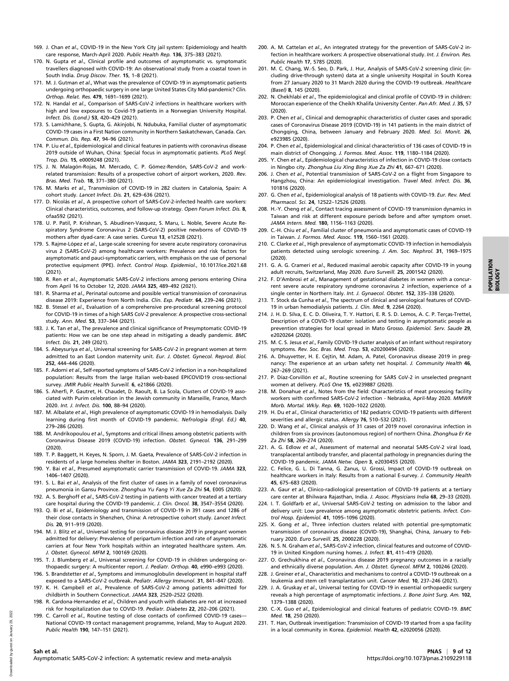- 169. J. Chan et al., COVID-19 in the New York City jail system: Epidemiology and health care response, March-April 2020. Public Health Rep. 136, 375–383 (2021).
- 170. N. Gupta et al., Clinical profile and outcomes of asymptomatic vs. symptomatic travellers diagnosed with COVID-19: An observational study from a coastal town in South India. Drug Discov. Ther. 15, 1–8 (2021).
- 171. M. J. Gutman et al., What was the prevalence of COVID-19 in asymptomatic patients undergoing orthopaedic surgery in one large United States City Mid-pandemic? Clin. Orthop. Relat. Res. 479, 1691–1699 (2021).
- 172. N. Handal et al., Comparison of SARS-CoV-2 infections in healthcare workers with high and low exposures to Covid-19 patients in a Norwegian University Hospital. Infect. Dis. (Lond.) 53, 420–429 (2021).
- 173. S. Lamichhane, S. Gupta, G. Akinjobi, N. Ndubuka, Familial cluster of asymptomatic COVID-19 cases in a First Nation community in Northern Saskatchewan, Canada. Can. Commun. Dis. Rep. 47, 94–96 (2021).
- 174. P. Liu et al., Epidemiological and clinical features in patients with coronavirus disease 2019 outside of Wuhan, China: Special focus in asymptomatic patients. PLoS Negl. Trop. Dis. 15, e0009248 (2021).
- 175. J. N. Malagón-Rojas, M. Mercado, C. P. Gómez-Rendón, SARS-CoV-2 and workrelated transmission: Results of a prospective cohort of airport workers, 2020. Rev. Bras. Med. Trab. 18, 371–380 (2021).
- 176. M. Marks et al., Transmission of COVID-19 in 282 clusters in Catalonia, Spain: A cohort study. Lancet Infect. Dis. 21, 629–636 (2021).
- 177. D. Nicolás et al., A prospective cohort of SARS-CoV-2-infected health care workers: Clinical characteristics, outcomes, and follow-up strategy. Open Forum Infect. Dis. 8, ofaa592 (2021).
- 178. U. P. Patil, P. Krishnan, S. Abudinen-Vasquez, S. Maru, L. Noble, Severe Acute Respiratory Syndrome Coronavirus 2 (SARS-CoV-2) positive newborns of COVID-19 mothers after dyad-care: A case series. Cureus 13, e12528 (2021).
- 179. S. Rajme-López et al., Large-scale screening for severe acute respiratory coronavirus virus 2 (SARS-CoV-2) among healthcare workers: Prevalence and risk factors for asymptomatic and pauci-symptomatic carriers, with emphasis on the use of personal protective equipment (PPE). Infect. Control Hosp. Epidemiol., 10.1017/ice.2021.68 (2021).
- 180. R. Ren et al., Asymptomatic SARS-CoV-2 infections among persons entering China from April 16 to October 12, 2020. JAMA 325, 489–492 (2021).
- 181. R. Sharma et al., Perinatal outcome and possible vertical transmission of coronavirus disease 2019: Experience from North India. Clin. Exp. Pediatr. 64, 239–246 (2021).
- 182. B. Stessel et al., Evaluation of a comprehensive pre-procedural screening protocol for COVID-19 in times of a high SARS CoV-2 prevalence: A prospective cross-sectional study. Ann. Med. 53, 337–344 (2021).
- 183. J. K. Tan et al., The prevalence and clinical significance of Presymptomatic COVID-19 patients: How we can be one step ahead in mitigating a deadly pandemic. BMC Infect. Dis. 21, 249 (2021).
- 184. S. Abeysuriya et al., Universal screening for SARS-CoV-2 in pregnant women at term admitted to an East London maternity unit. Eur. J. Obstet. Gynecol. Reprod. Biol. 252, 444–446 (2020).
- 185. F. Adorni et al., Self-reported symptoms of SARS-CoV-2 infection in a non-hospitalized population: Results from the large Italian web-based EPICOVID19 cross-sectional survey. JMIR Public Health Surveill. 6, e21866 (2020).
- 186. S. Aherfi, P. Gautret, H. Chaudet, D. Raoult, B. La Scola, Clusters of COVID-19 associated with Purim celebration in the Jewish community in Marseille, France, March 2020. Int. J. Infect. Dis. 100, 88–94 (2020).
- 187. M. Albalate et al., High prevalence of asymptomatic COVID-19 in hemodialysis. Daily learning during first month of COVID-19 pandemic. Nefrologia (Engl. Ed.) 40, 279–286 (2020).
- 188. M. Andrikopoulou et al., Symptoms and critical illness among obstetric patients with Coronavirus Disease 2019 (COVID-19) infection. Obstet. Gynecol. 136, 291–299 (2020).
- 189. T. P. Baggett, H. Keyes, N. Sporn, J. M. Gaeta, Prevalence of SARS-CoV-2 infection in residents of a large homeless shelter in Boston. JAMA 323, 2191–2192 (2020).
- 190. Y. Bai et al., Presumed asymptomatic carrier transmission of COVID-19. JAMA 323, 1406–1407 (2020).
- 191. S. L. Bai et al., Analysis of the first cluster of cases in a family of novel coronavirus pneumonia in Gansu Province. Zhonghua Yu Fang Yi Xue Za Zhi 54, E005 (2020).
- 192. A. S. Berghoff et al., SARS-CoV-2 testing in patients with cancer treated at a tertiary care hospital during the COVID-19 pandemic. J. Clin. Oncol. 38, 3547-3554 (2020).
- 193. Q. Bi et al., Epidemiology and transmission of COVID-19 in 391 cases and 1286 of their close contacts in Shenzhen, China: A retrospective cohort study. Lancet Infect. Dis. 20, 911–919 (2020).
- 194. M. J. Blitz et al., Universal testing for coronavirus disease 2019 in pregnant women admitted for delivery: Prevalence of peripartum infection and rate of asymptomatic carriers at four New York hospitals within an integrated healthcare system. Am. J. Obstet. Gynecol. MFM 2, 100169 (2020).
- 195. T. J. Blumberg et al., Universal screening for COVID-19 in children undergoing orthopaedic surgery: A multicenter report. J. Pediatr. Orthop. 40, e990-e993 (2020).
- 196. S. Brandstetter et al., Symptoms and immunoglobulin development in hospital staff exposed to a SARS-CoV-2 outbreak. Pediatr. Allergy Immunol. 31, 841–847 (2020).
- 197. K. H. Campbell et al., Prevalence of SARS-CoV-2 among patients admitted for childbirth in Southern Connecticut. JAMA 323, 2520–2522 (2020).
- 198. R. Cardona-Hernandez et al., Children and youth with diabetes are not at increased risk for hospitalization due to COVID-19. Pediatr. Diabetes 22, 202–206 (2021).
- 199. C. Carroll et al., Routine testing of close contacts of confirmed COVID-19 cases-National COVID-19 contact management programme, Ireland, May to August 2020. Public Health 190, 147–151 (2021).
- 200. A. M. Cattelan et al., An integrated strategy for the prevention of SARS-CoV-2 infection in healthcare workers: A prospective observational study. Int. J. Environ. Res. Public Health 17, 5785 (2020).
- 201. M. C. Chang, W.-S. Seo, D. Park, J. Hur, Analysis of SARS-CoV-2 screening clinic (including drive-through system) data at a single university Hospital in South Korea from 27 January 2020 to 31 March 2020 during the COVID-19 outbreak. Healthcare (Basel) 8, 145 (2020).
- 202. N. Chekhlabi et al., The epidemiological and clinical profile of COVID-19 in children: Moroccan experience of the Cheikh Khalifa University Center. Pan Afr. Med. J. 35, 57 (2020).
- 203. P. Chen et al., Clinical and demographic characteristics of cluster cases and sporadic cases of Coronavirus Disease 2019 (COVID-19) in 141 patients in the main district of Chongqing, China, between January and February 2020. Med. Sci. Monit. 26, e923985 (2020).
- 204. P. Chen et al., Epidemiological and clinical characteristics of 136 cases of COVID-19 in main district of Chongqing. J. Formos. Med. Assoc. 119, 1180–1184 (2020).
- 205. Y. Chen et al., Epidemiological characteristics of infection in COVID-19 close contacts in Ningbo city. Zhonghua Liu Xing Bing Xue Za Zhi 41, 667–671 (2020).
- 206. J. Chen et al., Potential transmission of SARS-CoV-2 on a flight from Singapore to Hangzhou, China: An epidemiological investigation. Travel Med. Infect. Dis. 36, 101816 (2020).
- 207. G. Chen et al., Epidemiological analysis of 18 patients with COVID-19. Eur. Rev. Med. Pharmacol. Sci. 24, 12522–12526 (2020).
- 208. H.-Y. Cheng et al., Contact tracing assessment of COVID-19 transmission dynamics in Taiwan and risk at different exposure periods before and after symptom onset. JAMA Intern. Med. 180, 1156–1163 (2020).
- 209. C.-H. Chiu et al., Familial cluster of pneumonia and asymptomatic cases of COVID-19 in Taiwan. J. Formos. Med. Assoc. 119, 1560–1561 (2020).
- 210. C. Clarke et al., High prevalence of asymptomatic COVID-19 infection in hemodialysis patients detected using serologic screening. J. Am. Soc. Nephrol. 31, 1969–1975 (2020).
- 211. G. A. G. Crameri et al., Reduced maximal aerobic capacity after COVID-19 in young adult recruits, Switzerland, May 2020. Euro Surveill. 25, 2001542 (2020).
- 212. F. D'Ambrosi et al., Management of gestational diabetes in women with a concurrent severe acute respiratory syndrome coronavirus 2 infection, experience of a single center in Northern Italy. Int. J. Gynaecol. Obstet. 152, 335–338 (2020).
- 213. T. Stock da Cunha et al., The spectrum of clinical and serological features of COVID-19 in urban hemodialysis patients. J. Clin. Med. 9, 2264 (2020).
- 214. J. H. D. Silva, E. C. D. Oliveira, T. Y. Hattori, E. R. S. D. Lemos, A. C. P. Terças-Trettel, Description of a COVID-19 cluster: isolation and testing in asymptomatic people as prevention strategies for local spread in Mato Grosso. Epidemiol. Serv. Saude 29, e2020264 (2020).
- 215. M. C. S. Jesus et al., Family COVID-19 cluster analysis of an infant without respiratory symptoms. Rev. Soc. Bras. Med. Trop. 53, e20200494 (2020).
- 216. A. Dhuyvetter, H. E. Cejtin, M. Adam, A. Patel, Coronavirus disease 2019 in pregnancy: The experience at an urban safety net hospital. J. Community Health 46, 267–269 (2021).
- 217. P. Díaz-Corvillón et al., Routine screening for SARS CoV-2 in unselected pregnant women at delivery. PLoS One 15, e0239887 (2020).
- 218. M. Donahue et al., Notes from the field: Characteristics of meat processing facility workers with confirmed SARS-CoV-2 infection - Nebraska, April-May 2020. MMWR Morb. Mortal. Wkly. Rep. 69, 1020–1022 (2020).
- 219. H. Du et al., Clinical characteristics of 182 pediatric COVID-19 patients with different severities and allergic status. Allergy 76, 510–532 (2021).
- 220. D. Wang et al., Clinical analysis of 31 cases of 2019 novel coronavirus infection in children from six provinces (autonomous region) of northern China. Zhonghua Er Ke Za Zhi 58, 269–274 (2020).
- 221. A. G. Edlow et al., Assessment of maternal and neonatal SARS-CoV-2 viral load. transplacental antibody transfer, and placental pathology in pregnancies during the COVID-19 pandemic. JAMA Netw. Open 3, e2030455 (2020).
- 222. C. Felice, G. L. Di Tanna, G. Zanus, U. Grossi, Impact of COVID-19 outbreak on healthcare workers in Italy: Results from a national E-survey. J. Community Health 45, 675–683 (2020).
- 223. A. Gaur et al., Clinico-radiological presentation of COVID-19 patients at a tertiary care center at Bhilwara Rajasthan, India. J. Assoc. Physicians India 68, 29–33 (2020).
- 224. I. T. Goldfarb et al., Universal SARS-CoV-2 testing on admission to the labor and delivery unit: Low prevalence among asymptomatic obstetric patients. Infect. Control Hosp. Epidemiol. 41, 1095–1096 (2020).
- 225. X. Gong et al., Three infection clusters related with potential pre-symptomatic transmission of coronavirus disease (COVID-19), Shanghai, China, January to February 2020. Euro Surveill. 25, 2000228 (2020).
- 226. N. S. N. Graham et al., SARS-CoV-2 infection, clinical features and outcome of COVID-19 in United Kingdom nursing homes. J. Infect. 81, 411–419 (2020).
- 227. O. Grechukhina et al., Coronavirus disease 2019 pregnancy outcomes in a racially and ethnically diverse population. Am. J. Obstet. Gynecol. MFM 2, 100246 (2020).
- 228. J. Greiner et al., Characteristics and mechanisms to control a COVID-19 outbreak on a leukemia and stem cell transplantation unit. Cancer Med. 10, 237–246 (2021).
- 229. J. A. Gruskay et al., Universal testing for COVID-19 in essential orthopaedic surgery reveals a high percentage of asymptomatic infections. J. Bone Joint Surg. Am. 102, 1379–1388 (2020).
- 230. C.-X. Guo et al., Epidemiological and clinical features of pediatric COVID-19. BMC Med. 18, 250 (2020).
- 231. T. Han, Outbreak investigation: Transmission of COVID-19 started from a spa facility in a local community in Korea. Epidemiol. Health 42, e2020056 (2020).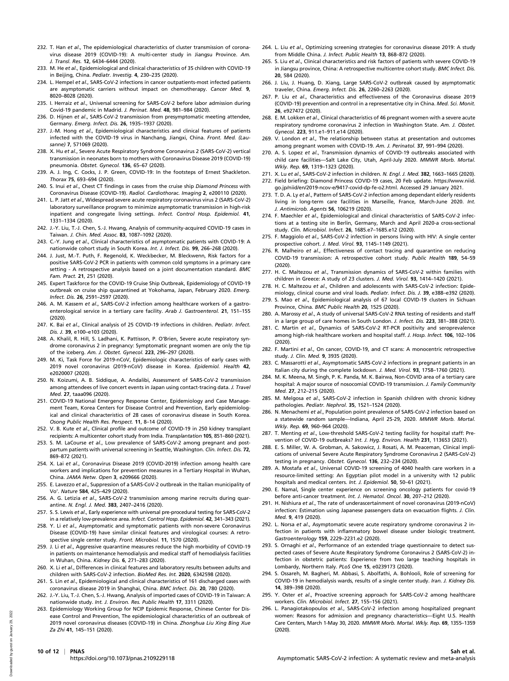- 232. T. Han et al., The epidemiological characteristics of cluster transmission of coronavirus disease 2019 (COVID-19): A multi-center study in Jiangsu Province. Am. J. Transl. Res. 12, 6434–6444 (2020).
- 233. M. He et al., Epidemiological and clinical characteristics of 35 children with COVID-19 in Beijing, China. Pediatr. Investig. 4, 230–235 (2020).
- 234. L. Hempel et al., SARS-CoV-2 infections in cancer outpatients-most infected patients are asymptomatic carriers without impact on chemotherapy. Cancer Med. 9, 8020–8028 (2020).
- 235. I. Herraiz et al., Universal screening for SARS-CoV-2 before labor admission during Covid-19 pandemic in Madrid. J. Perinat. Med. 48, 981–984 (2020).
- 236. D. Hijnen et al., SARS-CoV-2 transmission from presymptomatic meeting attendee, Germany. Emerg. Infect. Dis. 26, 1935–1937 (2020).
- 237. J.-M. Hong et al., Epidemiological characteristics and clinical features of patients infected with the COVID-19 virus in Nanchang, Jiangxi, China. Front. Med. (Lausanne) 7, 571069 (2020).
- 238. X. Hu et al., Severe Acute Respiratory Syndrome Coronavirus 2 (SARS-CoV-2) vertical transmission in neonates born to mothers with Coronavirus Disease 2019 (COVID-19) pneumonia. Obstet. Gynecol. 136, 65–67 (2020).
- 239. A. J. Ing, C. Cocks, J. P. Green, COVID-19: In the footsteps of Ernest Shackleton. Thorax 75, 693–694 (2020).
- 240. S. Inui et al., Chest CT findings in cases from the cruise ship Diamond Princess with Coronavirus Disease (COVID-19). Radiol. Cardiothorac. Imaging 2, e200110 (2020).
- 241. L. P. Jatt et al., Widespread severe acute respiratory coronavirus virus 2 (SARS-CoV-2) laboratory surveillance program to minimize asymptomatic transmission in high-risk inpatient and congregate living settings. Infect. Control Hosp. Epidemiol. 41, 1331–1334 (2020).
- 242. J.-Y. Liu, T.-J. Chen, S.-J. Hwang, Analysis of community-acquired COVID-19 cases in Taiwan. J. Chin. Med. Assoc. 83, 1087–1092 (2020).
- 243. C.-Y. Jung et al., Clinical characteristics of asymptomatic patients with COVID-19: A nationwide cohort study in South Korea. Int. J. Infect. Dis. 99, 266–268 (2020).
- 244. J. Just, M.-T. Puth, F. Regenold, K. Weckbecker, M. Bleckwenn, Risk factors for a positive SARS-CoV-2 PCR in patients with common cold symptoms in a primary care setting - A retrospective analysis based on a joint documentation standard. BMC Fam. Pract. 21, 251 (2020).
- 245. Expert Taskforce for the COVID-19 Cruise Ship Outbreak, Epidemiology of COVID-19 outbreak on cruise ship quarantined at Yokohama, Japan, February 2020. Emerg. Infect. Dis. 26, 2591–2597 (2020).
- 246. A. M. Kassem et al., SARS-CoV-2 infection among healthcare workers of a gastroenterological service in a tertiary care facility. Arab J. Gastroenterol. 21, 151–155 (2020).
- 247. K. Bai et al., Clinical analysis of 25 COVID-19 infections in children. Pediatr. Infect. Dis. J. 39, e100–e103 (2020).
- 248. A. Khalil, R. Hill, S. Ladhani, K. Pattisson, P. O'Brien, Severe acute respiratory syndrome coronavirus 2 in pregnancy: Symptomatic pregnant women are only the tip of the iceberg. Am. J. Obstet. Gynecol. 223, 296–297 (2020).
- 249. M. Ki, Task Force for 2019-nCoV, Epidemiologic characteristics of early cases with 2019 novel coronavirus (2019-nCoV) disease in Korea. Epidemiol. Health 42, e2020007 (2020).
- 250. N. Koizumi, A. B. Siddique, A. Andalibi, Assessment of SARS-CoV-2 transmission among attendees of live concert events in Japan using contact-tracing data. J. Travel Med. 27, taaa096 (2020).
- 251. COVID-19 National Emergency Response Center, Epidemiology and Case Management Team, Korea Centers for Disease Control and Prevention, Early epidemiological and clinical characteristics of 28 cases of coronavirus disease in South Korea. Osong Public Health Res. Perspect. 11, 8–14 (2020).
- 252. V. B. Kute et al., Clinical profile and outcome of COVID-19 in 250 kidney transplant recipients: A multicenter cohort study from India. Transplantation 105, 851–860 (2021).
- 253. S. M. LaCourse et al., Low prevalence of SARS-CoV-2 among pregnant and postpartum patients with universal screening in Seattle, Washington. Clin. Infect. Dis. 72, 869–872 (2021).
- 254. X. Lai et al., Coronavirus Disease 2019 (COVID-2019) infection among health care workers and implications for prevention measures in a Tertiary Hospital in Wuhan, China. JAMA Netw. Open 3, e209666 (2020).
- 255. E. Lavezzo et al., Suppression of a SARS-CoV-2 outbreak in the Italian municipality of Vo'. Nature 584, 425–429 (2020).
- 256. A. G. Letizia et al., SARS-CoV-2 transmission among marine recruits during quarantine. N. Engl. J. Med. 383, 2407-2416 (2020).
- 257. S. S. Lewis et al., Early experience with universal pre-procedural testing for SARS-CoV-2 in a relatively low-prevalence area. Infect. Control Hosp. Epidemiol. 42, 341-343 (2021).
- 258. Y. Li et al., Asymptomatic and symptomatic patients with non-severe Coronavirus Disease (COVID-19) have similar clinical features and virological courses: A retrospective single center study. Front. Microbiol. 11, 1570 (2020).
- 259. J. Li et al., Aggressive quarantine measures reduce the high morbidity of COVID-19 in patients on maintenance hemodialysis and medical staff of hemodialysis facilities in Wuhan, China. Kidney Dis. 6, 271–283 (2020).
- 260. X. Li et al., Differences in clinical features and laboratory results between adults and children with SARS-CoV-2 infection. BioMed Res. Int. 2020, 6342598 (2020).
- 261. S. Lin et al., Epidemiological and clinical characteristics of 161 discharged cases with coronavirus disease 2019 in Shanghai, China. BMC Infect. Dis. 20, 780 (2020).
- 262. J.-Y. Liu, T.-J. Chen, S.-J. Hwang, Analysis of imported cases of COVID-19 in Taiwan: A nationwide study. Int. J. Environ. Res. Public Health 17, 3311 (2020).
- 263. Epidemiology Working Group for NCIP Epidemic Response, Chinese Center for Disease Control and Prevention, The epidemiological characteristics of an outbreak of 2019 novel coronavirus diseases (COVID-19) in China. Zhonghua Liu Xing Bing Xue Za Zhi 41, 145–151 (2020).
- 264. L. Liu et al., Optimizing screening strategies for coronavirus disease 2019: A study from Middle China. J. Infect. Public Health 13, 868–872 (2020).
- 265. S. Liu et al., Clinical characteristics and risk factors of patients with severe COVID-19 in Jiangsu province, China: A retrospective multicentre cohort study. BMC Infect. Dis. 20, 584 (2020).
- 266. J. Liu, J. Huang, D. Xiang, Large SARS-CoV-2 outbreak caused by asymptomatic traveler, China. Emerg. Infect. Dis. 26, 2260–2263 (2020).
- 267. P. Liu et al., Characteristics and effectiveness of the Coronavirus disease 2019 (COVID-19) prevention and control in a representative city in China. Med. Sci. Monit. 26, e927472 (2020).
- 268. E. M. Lokken et al., Clinical characteristics of 46 pregnant women with a severe acute respiratory syndrome coronavirus 2 infection in Washington State. Am. J. Obstet. Gynecol. 223, 911.e1–911.e14 (2020).
- 269. V. London et al., The relationship between status at presentation and outcomes among pregnant women with COVID-19. Am. J. Perinatol. 37, 991–994 (2020).
- 270. A. S. Lopez et al., Transmission dynamics of COVID-19 outbreaks associated with child care facilities—Salt Lake City, Utah, April-July 2020. MMWR Morb. Mortal. Wkly. Rep. 69, 1319–1323 (2020).
- 271. X. Lu et al., SARS-CoV-2 infection in children. N. Engl. J. Med. 382, 1663–1665 (2020). 272. Field briefing: Diamond Princess COVID-19 cases, 20 Feb update. [https://www.niid.](https://www.niid.go.jp/niid/en/2019-ncov-e/9417-covid-dp-fe-o2.html) [go.jp/niid/en/2019-ncov-e/9417-covid-dp-fe-o2.html](https://www.niid.go.jp/niid/en/2019-ncov-e/9417-covid-dp-fe-o2.html). Accessed 29 January 2021.
- 273. T. D. A. Ly et al., Pattern of SARS-CoV-2 infection among dependant elderly residents living in long-term care facilities in Marseille, France, March-June 2020. Int. J. Antimicrob. Agents 56, 106219 (2020).
- 274. F. Maechler et al., Epidemiological and clinical characteristics of SARS-CoV-2 infections at a testing site in Berlin, Germany, March and April 2020-a cross-sectional study. Clin. Microbiol. Infect. 26, 1685.e7–1685.e12 (2020).
- 275. F. Maggiolo et al., SARS-CoV-2 infection in persons living with HIV: A single center prospective cohort. J. Med. Virol. 93, 1145–1149 (2021).
- 276. R. Malheiro et al., Effectiveness of contact tracing and quarantine on reducing COVID-19 transmission: A retrospective cohort study. Public Health 189, 54–59 (2020).
- 277. H. C. Maltezou et al., Transmission dynamics of SARS-CoV-2 within families with children in Greece: A study of 23 clusters. J. Med. Virol. 93, 1414–1420 (2021).
- 278. H. C. Maltezou et al., Children and adolescents with SARS-CoV-2 infection: Epidemiology, clinical course and viral loads. Pediatr. Infect. Dis. J. 39, e388–e392 (2020).
- 279. S. Mao et al., Epidemiological analysis of 67 local COVID-19 clusters in Sichuan Province, China. BMC Public Health 20, 1525 (2020).
- 280. A. Marossy et al., A study of universal SARS-CoV-2 RNA testing of residents and staff in a large group of care homes in South London. J. Infect. Dis. 223, 381–388 (2021).
- 281. C. Martin et al., Dynamics of SARS-CoV-2 RT-PCR positivity and seroprevalence among high-risk healthcare workers and hospital staff. J. Hosp. Infect. 106, 102-106 (2020).
- 282. F. Martini et al., On cancer, COVID-19, and CT scans: A monocentric retrospective study. J. Clin. Med. 9, 3935 (2020).
- 283. C. Massarotti et al., Asymptomatic SARS-CoV-2 infections in pregnant patients in an Italian city during the complete lockdown. J. Med. Virol. 93, 1758–1760 (2021).
- 284. M. K. Meena, M. Singh, P. K. Panda, M. K. Bairwa, Non-COVID area of a tertiary care hospital: A major source of nosocomial COVID-19 transmission. J. Family Community Med. 27, 212–215 (2020).
- 285. M. Melgosa et al., SARS-CoV-2 infection in Spanish children with chronic kidney pathologies. Pediatr. Nephrol. 35, 1521–1524 (2020).
- 286. N. Menachemi et al., Population point prevalence of SARS-CoV-2 infection based on a statewide random sample—Indiana, April 25-29, 2020. MMWR Morb. Mortal. Wkly. Rep. 69, 960–964 (2020).
- 287. T. Menting et al., Low-threshold SARS-CoV-2 testing facility for hospital staff: Prevention of COVID-19 outbreaks? Int. J. Hyg. Environ. Health 231, 113653 (2021).
- 288. E. S. Miller, W. A. Grobman, A. Sakowicz, J. Rosati, A. M. Peaceman, Clinical implications of universal Severe Acute Respiratory Syndrome Coronavirus 2 (SARS-CoV-2) testing in pregnancy. Obstet. Gynecol. 136, 232–234 (2020).
- 289. A. Mostafa et al., Universal COVID-19 screening of 4040 health care workers in a resource-limited setting: An Egyptian pilot model in a university with 12 public hospitals and medical centers. Int. J. Epidemiol. 50, 50-61 (2021).
- 290. E. Namal, Single center experience on screening oncology patients for covid-19 before anti-cancer treatment. Int. J. Hematol. Oncol. 30, 207–212 (2020).
- 291. H. Nishiura et al., The rate of underascertainment of novel coronavirus (2019-nCoV) infection: Estimation using Japanese passengers data on evacuation flights. J. Clin. Med. 9, 419 (2020).
- 292. L. Norsa et al., Asymptomatic severe acute respiratory syndrome coronavirus 2 infection in patients with inflammatory bowel disease under biologic treatment. Gastroenterology 159, 2229–2231.e2 (2020).
- 293. S. Ornaghi et al., Performance of an extended triage questionnaire to detect suspected cases of Severe Acute Respiratory Syndrome Coronavirus 2 (SARS-CoV-2) infection in obstetric patients: Experience from two large teaching hospitals in Lombardy, Northern Italy. PLoS One 15, e0239173 (2020).
- 294. S. Ossareh, M. Bagheri, M. Abbasi, S. Abolfathi, A. Bohlooli, Role of screening for COVID-19 in hemodialysis wards, results of a single center study. Iran. J. Kidney Dis. 14, 389–398 (2020).
- 295. Y. Oster et al., Proactive screening approach for SARS-CoV-2 among healthcare workers. Clin. Microbiol. Infect. 27, 155–156 (2021).
- 296. L. Panagiotakopoulos et al., SARS-CoV-2 infection among hospitalized pregnant women: Reasons for admission and pregnancy characteristics—Eight U.S. Health Care Centers, March 1-May 30, 2020. MMWR Morb. Mortal. Wkly. Rep. 69, 1355–1359 (2020).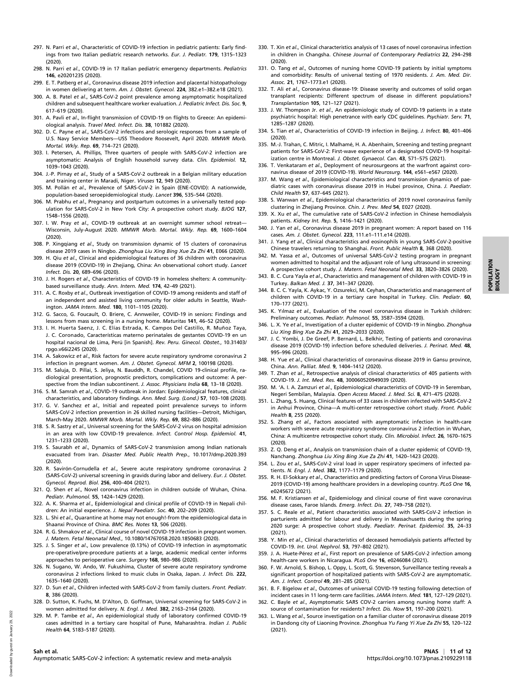- 297. N. Parri et al., Characteristic of COVID-19 infection in pediatric patients: Early findings from two Italian pediatric research networks. Eur. J. Pediatr. 179, 1315–1323 (2020).
- 298. N. Parri et al., COVID-19 in 17 Italian pediatric emergency departments. Pediatrics 146, e20201235 (2020).
- 299. E. T. Patberg et al., Coronavirus disease 2019 infection and placental histopathology in women delivering at term. Am. J. Obstet. Gynecol. 224, 382.e1–382.e18 (2021).
- 300. A. B. Patel et al., SARS-CoV-2 point prevalence among asymptomatic hospitalized children and subsequent healthcare worker evaluation. J. Pediatric Infect. Dis. Soc. 9, 617–619 (2020).
- 301. A. Pavli et al., In-flight transmission of COVID-19 on flights to Greece: An epidemiological analysis. Travel Med. Infect. Dis. 38, 101882 (2020).
- 302. D. C. Payne et al., SARS-CoV-2 infections and serologic responses from a sample of U.S. Navy Service Members—USS Theodore Roosevelt, April 2020. MMWR Morb. Mortal. Wkly. Rep. 69, 714–721 (2020).
- 303. I. Petersen, A. Phillips, Three quarters of people with SARS-CoV-2 infection are asymptomatic: Analysis of English household survey data. Clin. Epidemiol. 12, 1039–1043 (2020).
- 304. J.-P. Pirnay et al., Study of a SARS-CoV-2 outbreak in a Belgian military education and training center in Maradi, Niger. Viruses 12, 949 (2020).
- 305. M. Pollán et al., Prevalence of SARS-CoV-2 in Spain (ENE-COVID): A nationwide, population-based seroepidemiological study. Lancet 396, 535–544 (2020).
- 306. M. Prabhu et al., Pregnancy and postpartum outcomes in a universally tested population for SARS-CoV-2 in New York City: A prospective cohort study. BJOG 127, 1548–1556 (2020).
- 307. I. W. Pray et al., COVID-19 outbreak at an overnight summer school retreat-Wisconsin, July-August 2020. MMWR Morb. Mortal. Wkly. Rep. 69, 1600–1604 (2020).
- 308. P. Xingqiang et al., Study on transmission dynamic of 15 clusters of coronavirus disease 2019 cases in Ningbo. Zhonghua Liu Xing Bing Xue Za Zhi 41, E066 (2020).
- 309. H. Qiu et al., Clinical and epidemiological features of 36 children with coronavirus disease 2019 (COVID-19) in Zhejiang, China: An observational cohort study. Lancet Infect. Dis. 20, 689–696 (2020).
- 310. J. H. Rogers et al., Characteristics of COVID-19 in homeless shelters: A communitybased surveillance study. Ann. Intern. Med. 174, 42–49 (2021).
- 311. A. C. Roxby et al., Outbreak investigation of COVID-19 among residents and staff of an independent and assisted living community for older adults in Seattle, Washington. JAMA Intern. Med. 180, 1101–1105 (2020).
- 312. G. Sacco, G. Foucault, O. Briere, C. Annweiler, COVID-19 in seniors: Findings and lessons from mass screening in a nursing home. Maturitas 141, 46–52 (2020).
- 313. I. H. Huerta Saenz, J. C. Elías Estrada, K. Campos Del Castillo, R. Muñoz Taya, J. C. Coronado, Características materno perinatales de gestantes COVID-19 en un hospital nacional de Lima, Perú [in Spanish]. Rev. Peru. Ginecol. Obstet., 10.31403/ rpgo.v66i2245 (2020).
- 314. A. Sakowicz et al., Risk factors for severe acute respiratory syndrome coronavirus 2 infection in pregnant women. Am. J. Obstet. Gynecol. MFM 2, 100198 (2020).
- 315. M. Saluja, D. Pillai, S. Jeliya, N. Bauddh, R. Chandel, COVID 19-clinical profile, radiological presentation, prognostic predictors, complications and outcome: A perspective from the Indian subcontinent. J. Assoc. Physicians India 68, 13-18 (2020).
- 316. S. M. Samrah et al., COVID-19 outbreak in Jordan: Epidemiological features, clinical characteristics, and laboratory findings. Ann. Med. Surg. (Lond.) 57, 103–108 (2020).
- 317. G. V. Sanchez et al., Initial and repeated point prevalence surveys to inform SARS-CoV-2 infection prevention in 26 skilled nursing facilities—Detroit, Michigan, March-May 2020. MMWR Morb. Mortal. Wkly. Rep. 69, 882–886 (2020).
- 318. S. R. Sastry et al., Universal screening for the SARS-CoV-2 virus on hospital admission in an area with low COVID-19 prevalence. Infect. Control Hosp. Epidemiol. 41, 1231–1233 (2020).
- 319. S. Saurabh et al., Dynamics of SARS-CoV-2 transmission among Indian nationals evacuated from Iran. Disaster Med. Public Health Prep., 10.1017/dmp.2020.393 (2020).
- 320. R. Savirón-Cornudella et al., Severe acute respiratory syndrome coronavirus 2 (SARS-CoV-2) universal screening in gravids during labor and delivery. Eur. J. Obstet. Gynecol. Reprod. Biol. 256, 400–404 (2021).
- 321. Q. Shen et al., Novel coronavirus infection in children outside of Wuhan, China. Pediatr. Pulmonol. 55, 1424–1429 (2020).
- 322. A. K. Sharma et al., Epidemiological and clinical profile of COVID-19 in Nepali children: An initial experience. J. Nepal Paediatr. Soc. 40, 202–209 (2020).
- 323. L. Shi et al., Quarantine at home may not enough!-from the epidemiological data in Shaanxi Province of China. BMC Res. Notes 13, 506 (2020).
- 324. R. G. Shmakov et al., Clinical course of novel COVID-19 infection in pregnant women. J. Matern. Fetal Neonatal Med., 10.1080/14767058.2020.1850683 (2020).
- 325. J. S. Singer et al., Low prevalence (0.13%) of COVID-19 infection in asymptomatic pre-operative/pre-procedure patients at a large, academic medical center informs approaches to perioperative care. Surgery 168, 980-986 (2020).
- 326. N. Sugano, W. Ando, W. Fukushima, Cluster of severe acute respiratory syndrome coronavirus 2 infections linked to music clubs in Osaka, Japan. J. Infect. Dis. 222, 1635–1640 (2020).
- 327. D. Sun et al., Children infected with SARS-CoV-2 from family clusters. Front. Pediatr. 8, 386 (2020).
- 328. D. Sutton, K. Fuchs, M. D'Alton, D. Goffman, Universal screening for SARS-CoV-2 in women admitted for delivery. N. Engl. J. Med. 382, 2163–2164 (2020).
- 329. M. P. Tambe et al., An epidemiological study of laboratory confirmed COVID-19 cases admitted in a tertiary care hospital of Pune, Maharashtra. Indian J. Public Health 64, S183–S187 (2020).
- 330. T. Xin et al., Clinical characteristics analysis of 13 cases of novel coronavirus infection in children in Changsha. Chinese Journal of Contemporary Pediatrics 22, 294–298 (2020).
- 331. O. Tang et al., Outcomes of nursing home COVID-19 patients by initial symptoms and comorbidity: Results of universal testing of 1970 residents. J. Am. Med. Dir. Assoc. 21, 1767–1773.e1 (2020).
- 332. T. Ali et al., Coronavirus disease-19: Disease severity and outcomes of solid organ transplant recipients: Different spectrum of disease in different populations? Transplantation 105, 121–127 (2021).
- 333. J. W. Thompson Jr. et al., An epidemiologic study of COVID-19 patients in a state psychiatric hospital: High penetrance with early CDC guidelines. Psychiatr. Serv. 71, 1285–1287 (2020).
- 334. S. Tian et al., Characteristics of COVID-19 infection in Beijing. J. Infect. 80, 401-406 (2020).
- 335. M.-J. Trahan, C. Mitric, I. Malhamé, H. A. Abenhaim, Screening and testing pregnant patients for SARS-CoV-2: First-wave experience of a designated COVID-19 hospitalization centre in Montreal. J. Obstet. Gynaecol. Can. 43, 571-575 (2021).
- 336. T. Venkataram et al., Deployment of neurosurgeons at the warfront against coronavirus disease of 2019 (COVID-19). World Neurosurg. 144, e561–e567 (2020).
- 337. M. Wang et al., Epidemiological characteristics and transmission dynamics of paediatric cases with coronavirus disease 2019 in Hubei province, China. J. Paediatr. Child Health 57, 637–645 (2021).
- 338. S. Wanwan et al., Epidemiological characteristics of 2019 novel coronavirus family clustering in Zhejiang Province. Chin. J. Prev. Med 54, E027 (2020).
- 339. X. Xu et al., The cumulative rate of SARS-CoV-2 infection in Chinese hemodialysis patients. Kidney Int. Rep. 5, 1416–1421 (2020).
- 340. J. Yan et al., Coronavirus disease 2019 in pregnant women: A report based on 116 cases. Am. J. Obstet. Gynecol. 223, 111.e1–111.e14 (2020).
- 341. J. Yang et al., Clinical characteristics and eosinophils in young SARS-CoV-2-positive Chinese travelers returning to Shanghai. Front. Public Health 8, 368 (2020).
- 342. M. Yassa et al., Outcomes of universal SARS-CoV-2 testing program in pregnant women admitted to hospital and the adjuvant role of lung ultrasound in screening: A prospective cohort study. J. Matern. Fetal Neonatal Med. 33, 3820–3826 (2020).
- 343. B. C. Cura Yayla et al., Characteristics and management of children with COVID-19 in Turkey. Balkan Med. J. 37, 341–347 (2020).
- 344. B. C. C. Yayla, K. Aykac, Y. Ozsurekci, M. Ceyhan, Characteristics and management of children with COVID-19 in a tertiary care hospital in Turkey. Clin. Pediatr. 60, 170–177 (2021).
- 345. K. Yılmaz et al., Evaluation of the novel coronavirus disease in Turkish children: Preliminary outcomes. Pediatr. Pulmonol. 55, 3587–3594 (2020).
- 346. L. X. Ye et al., Investigation of a cluster epidemic of COVID-19 in Ningbo. Zhonghua Liu Xing Bing Xue Za Zhi 41, 2029–2033 (2020).
- 347. J. C. Yombi, J. De Greef, P. Bernard, L. Belkhir, Testing of patients and coronavirus disease 2019 (COVID-19) infection before scheduled deliveries. J. Perinat. Med. 48, 995–996 (2020).
- 348. H. Yue et al., Clinical characteristics of coronavirus disease 2019 in Gansu province, China. Ann. Palliat. Med. 9, 1404–1412 (2020).
- 349. T. Zhan et al., Retrospective analysis of clinical characteristics of 405 patients with COVID-19. J. Int. Med. Res. 48, 300060520949039 (2020).
- 350. M. 'A. I. A. Zamzuri et al., Epidemiological characteristics of COVID-19 in Seremban, Negeri Sembilan, Malaysia. Open Access Maced. J. Med. Sci. 8, 471–475 (2020).
- 351. L. Zhang, S. Huang, Clinical features of 33 cases in children infected with SARS-CoV-2 in Anhui Province, China—A multi-center retrospective cohort study. Front. Public Health 8, 255 (2020).
- 352. S. Zhang et al., Factors associated with asymptomatic infection in health-care workers with severe acute respiratory syndrome coronavirus 2 infection in Wuhan, China: A multicentre retrospective cohort study. Clin. Microbiol. Infect. 26, 1670–1675 (2020).
- 353. Z. Q. Deng et al., Analysis on transmission chain of a cluster epidemic of COVID-19, Nanchang. Zhonghua Liu Xing Bing Xue Za Zhi 41, 1420–1423 (2020).
- 354. L. Zou et al., SARS-CoV-2 viral load in upper respiratory specimens of infected pa-
- 355. R. H. El-Sokkary et al., Characteristics and predicting factors of Corona Virus Disease-2019 (COVID-19) among healthcare providers in a developing country. PLoS One 16, e0245672 (2021).
- 356. M. F. Kristiansen et al., Epidemiology and clinical course of first wave coronavirus disease cases, Faroe Islands. Emerg. Infect. Dis. 27, 749–758 (2021).
- 357. S. C. Reale et al., Patient characteristics associated with SARS-CoV-2 infection in parturients admitted for labour and delivery in Massachusetts during the spring 2020 surge: A prospective cohort study. Paediatr. Perinat. Epidemiol. 35, 24–33 (2021).
- 358. Y. Min et al., Clinical characteristics of deceased hemodialysis patients affected by COVID-19. Int. Urol. Nephrol. 53, 797–802 (2021).
- 359. J. A. Huete-Pérez et al., First report on prevalence of SARS-CoV-2 infection among health-care workers in Nicaragua. PLoS One 16, e0246084 (2021).
- 360. F. W. Arnold, S. Bishop, L. Oppy, L. Scott, G. Stevenson, Surveillance testing reveals a significant proportion of hospitalized patients with SARS-CoV-2 are asymptomatic. Am. J. Infect. Control 49, 281–285 (2021).
- 361. B. F. Bigelow et al., Outcomes of universal COVID-19 testing following detection of incident cases in 11 long-term care facilities. JAMA Intern. Med. 181, 127–129 (2021).
- 362. C. Bayle et al., Asymptomatic SARS COV-2 carriers among nursing home staff: A source of contamination for residents? Infect. Dis. Now 51, 197–200 (2021).
- 363. L. Wang et al., Source investigation on a familiar cluster of coronavirus disease 2019 in Dandong city of Liaoning Province. Zhonghua Yu Fang Yi Xue Za Zhi 55, 120–122 (2021).

Downloaded by guest on January 29, 2022

loaded by guest on

Down

2022 January 29

POPULATION POPULATION<br>BIOLOGY

tients. N. Engl. J. Med. 382, 1177–1179 (2020).